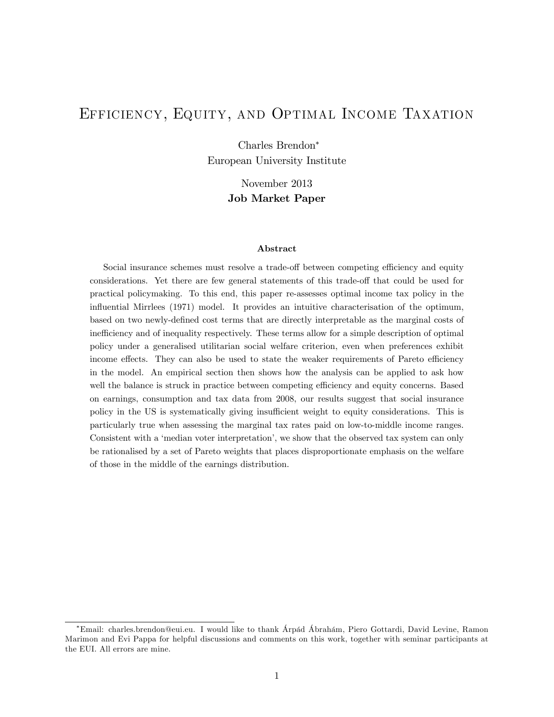# Efficiency, Equity, and Optimal Income Taxation

Charles Brendon European University Institute

> November 2013 Job Market Paper

#### Abstract

Social insurance schemes must resolve a trade-off between competing efficiency and equity considerations. Yet there are few general statements of this trade-off that could be used for practical policymaking. To this end, this paper re-assesses optimal income tax policy in the influential Mirrlees (1971) model. It provides an intuitive characterisation of the optimum, based on two newly-defined cost terms that are directly interpretable as the marginal costs of inefficiency and of inequality respectively. These terms allow for a simple description of optimal policy under a generalised utilitarian social welfare criterion, even when preferences exhibit income effects. They can also be used to state the weaker requirements of Pareto efficiency in the model. An empirical section then shows how the analysis can be applied to ask how well the balance is struck in practice between competing efficiency and equity concerns. Based on earnings, consumption and tax data from 2008, our results suggest that social insurance policy in the US is systematically giving insufficient weight to equity considerations. This is particularly true when assessing the marginal tax rates paid on low-to-middle income ranges. Consistent with a 'median voter interpretation', we show that the observed tax system can only be rationalised by a set of Pareto weights that places disproportionate emphasis on the welfare of those in the middle of the earnings distribution.

Email: charles.brendon@eui.eu. I would like to thank £rp·d £brah·m, Piero Gottardi, David Levine, Ramon Marimon and Evi Pappa for helpful discussions and comments on this work, together with seminar participants at the EUI. All errors are mine.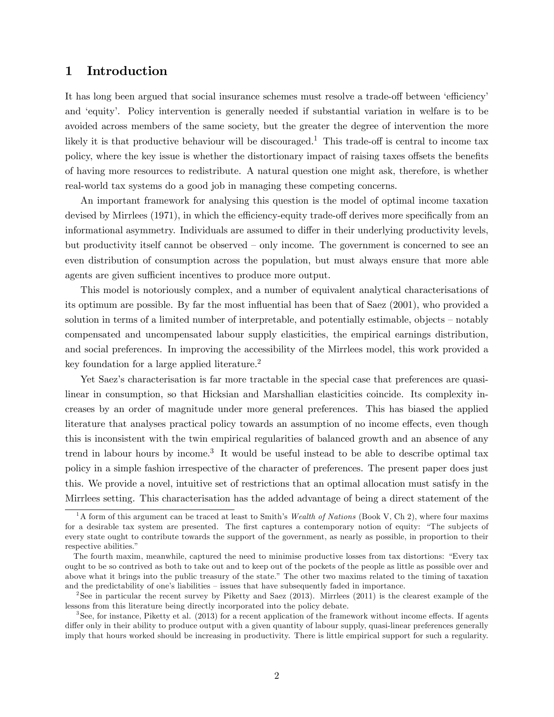## 1 Introduction

It has long been argued that social insurance schemes must resolve a trade-off between 'efficiency' and ëequityí. Policy intervention is generally needed if substantial variation in welfare is to be avoided across members of the same society, but the greater the degree of intervention the more likely it is that productive behaviour will be discouraged.<sup>1</sup> This trade-off is central to income tax policy, where the key issue is whether the distortionary impact of raising taxes offsets the benefits of having more resources to redistribute. A natural question one might ask, therefore, is whether real-world tax systems do a good job in managing these competing concerns.

An important framework for analysing this question is the model of optimal income taxation devised by Mirrlees (1971), in which the efficiency-equity trade-off derives more specifically from an informational asymmetry. Individuals are assumed to differ in their underlying productivity levels, but productivity itself cannot be observed  $-$  only income. The government is concerned to see an even distribution of consumption across the population, but must always ensure that more able agents are given sufficient incentives to produce more output.

This model is notoriously complex, and a number of equivalent analytical characterisations of its optimum are possible. By far the most influential has been that of Saez (2001), who provided a solution in terms of a limited number of interpretable, and potentially estimable, objects – notably compensated and uncompensated labour supply elasticities, the empirical earnings distribution, and social preferences. In improving the accessibility of the Mirrlees model, this work provided a key foundation for a large applied literature.<sup>2</sup>

Yet Saez's characterisation is far more tractable in the special case that preferences are quasilinear in consumption, so that Hicksian and Marshallian elasticities coincide. Its complexity increases by an order of magnitude under more general preferences. This has biased the applied literature that analyses practical policy towards an assumption of no income effects, even though this is inconsistent with the twin empirical regularities of balanced growth and an absence of any trend in labour hours by income.<sup>3</sup> It would be useful instead to be able to describe optimal tax policy in a simple fashion irrespective of the character of preferences. The present paper does just this. We provide a novel, intuitive set of restrictions that an optimal allocation must satisfy in the Mirrlees setting. This characterisation has the added advantage of being a direct statement of the

<sup>&</sup>lt;sup>1</sup>A form of this argument can be traced at least to Smith's Wealth of Nations (Book V, Ch 2), where four maxims for a desirable tax system are presented. The first captures a contemporary notion of equity: "The subjects of every state ought to contribute towards the support of the government, as nearly as possible, in proportion to their respective abilities."

The fourth maxim, meanwhile, captured the need to minimise productive losses from tax distortions: "Every tax ought to be so contrived as both to take out and to keep out of the pockets of the people as little as possible over and above what it brings into the public treasury of the state." The other two maxims related to the timing of taxation and the predictability of one's liabilities  $-$  issues that have subsequently faded in importance.

<sup>&</sup>lt;sup>2</sup>See in particular the recent survey by Piketty and Saez (2013). Mirrlees (2011) is the clearest example of the lessons from this literature being directly incorporated into the policy debate.

 ${}^{3}$ See, for instance, Piketty et al. (2013) for a recent application of the framework without income effects. If agents differ only in their ability to produce output with a given quantity of labour supply, quasi-linear preferences generally imply that hours worked should be increasing in productivity. There is little empirical support for such a regularity.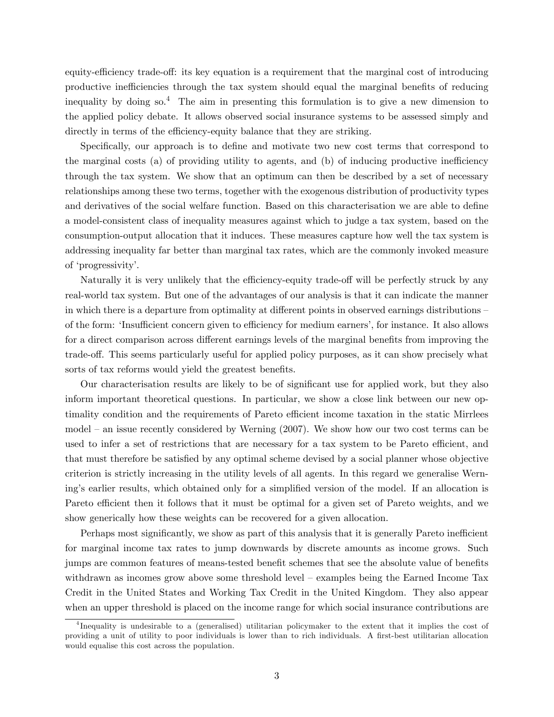equity-efficiency trade-off: its key equation is a requirement that the marginal cost of introducing productive inefficiencies through the tax system should equal the marginal benefits of reducing inequality by doing so.<sup>4</sup> The aim in presenting this formulation is to give a new dimension to the applied policy debate. It allows observed social insurance systems to be assessed simply and directly in terms of the efficiency-equity balance that they are striking.

Specifically, our approach is to define and motivate two new cost terms that correspond to the marginal costs (a) of providing utility to agents, and (b) of inducing productive inefficiency through the tax system. We show that an optimum can then be described by a set of necessary relationships among these two terms, together with the exogenous distribution of productivity types and derivatives of the social welfare function. Based on this characterisation we are able to define a model-consistent class of inequality measures against which to judge a tax system, based on the consumption-output allocation that it induces. These measures capture how well the tax system is addressing inequality far better than marginal tax rates, which are the commonly invoked measure of 'progressivity'.

Naturally it is very unlikely that the efficiency-equity trade-off will be perfectly struck by any real-world tax system. But one of the advantages of our analysis is that it can indicate the manner in which there is a departure from optimality at different points in observed earnings distributions – of the form: 'Insufficient concern given to efficiency for medium earners', for instance. It also allows for a direct comparison across different earnings levels of the marginal benefits from improving the trade-off. This seems particularly useful for applied policy purposes, as it can show precisely what sorts of tax reforms would yield the greatest benefits.

Our characterisation results are likely to be of significant use for applied work, but they also inform important theoretical questions. In particular, we show a close link between our new optimality condition and the requirements of Pareto efficient income taxation in the static Mirrlees model  $-$  an issue recently considered by Werning (2007). We show how our two cost terms can be used to infer a set of restrictions that are necessary for a tax system to be Pareto efficient, and that must therefore be satisfied by any optimal scheme devised by a social planner whose objective criterion is strictly increasing in the utility levels of all agents. In this regard we generalise Werning's earlier results, which obtained only for a simplified version of the model. If an allocation is Pareto efficient then it follows that it must be optimal for a given set of Pareto weights, and we show generically how these weights can be recovered for a given allocation.

Perhaps most significantly, we show as part of this analysis that it is generally Pareto inefficient for marginal income tax rates to jump downwards by discrete amounts as income grows. Such jumps are common features of means-tested benefit schemes that see the absolute value of benefits withdrawn as incomes grow above some threshold level  $-$  examples being the Earned Income Tax Credit in the United States and Working Tax Credit in the United Kingdom. They also appear when an upper threshold is placed on the income range for which social insurance contributions are

<sup>4</sup> Inequality is undesirable to a (generalised) utilitarian policymaker to the extent that it implies the cost of providing a unit of utility to poor individuals is lower than to rich individuals. A first-best utilitarian allocation would equalise this cost across the population.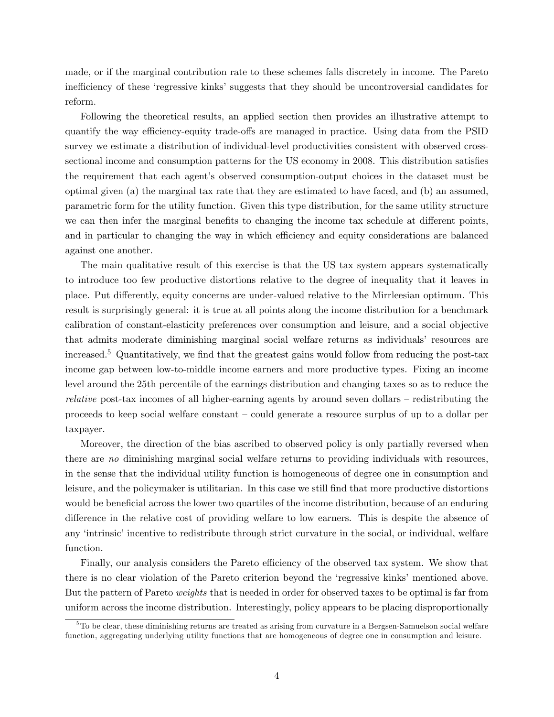made, or if the marginal contribution rate to these schemes falls discretely in income. The Pareto inefficiency of these 'regressive kinks' suggests that they should be uncontroversial candidates for reform.

Following the theoretical results, an applied section then provides an illustrative attempt to quantify the way efficiency-equity trade-offs are managed in practice. Using data from the PSID survey we estimate a distribution of individual-level productivities consistent with observed crosssectional income and consumption patterns for the US economy in 2008. This distribution satisfies the requirement that each agent's observed consumption-output choices in the dataset must be optimal given (a) the marginal tax rate that they are estimated to have faced, and (b) an assumed, parametric form for the utility function. Given this type distribution, for the same utility structure we can then infer the marginal benefits to changing the income tax schedule at different points, and in particular to changing the way in which efficiency and equity considerations are balanced against one another.

The main qualitative result of this exercise is that the US tax system appears systematically to introduce too few productive distortions relative to the degree of inequality that it leaves in place. Put differently, equity concerns are under-valued relative to the Mirrleesian optimum. This result is surprisingly general: it is true at all points along the income distribution for a benchmark calibration of constant-elasticity preferences over consumption and leisure, and a social objective that admits moderate diminishing marginal social welfare returns as individuals' resources are increased.<sup>5</sup> Quantitatively, we find that the greatest gains would follow from reducing the post-tax income gap between low-to-middle income earners and more productive types. Fixing an income level around the 25th percentile of the earnings distribution and changing taxes so as to reduce the *relative* post-tax incomes of all higher-earning agents by around seven dollars  $-$  redistributing the proceeds to keep social welfare constant  $\sim$  could generate a resource surplus of up to a dollar per taxpayer.

Moreover, the direction of the bias ascribed to observed policy is only partially reversed when there are no diminishing marginal social welfare returns to providing individuals with resources, in the sense that the individual utility function is homogeneous of degree one in consumption and leisure, and the policymaker is utilitarian. In this case we still find that more productive distortions would be beneficial across the lower two quartiles of the income distribution, because of an enduring difference in the relative cost of providing welfare to low earners. This is despite the absence of any 'intrinsic' incentive to redistribute through strict curvature in the social, or individual, welfare function.

Finally, our analysis considers the Pareto efficiency of the observed tax system. We show that there is no clear violation of the Pareto criterion beyond the 'regressive kinks' mentioned above. But the pattern of Pareto weights that is needed in order for observed taxes to be optimal is far from uniform across the income distribution. Interestingly, policy appears to be placing disproportionally

<sup>&</sup>lt;sup>5</sup>To be clear, these diminishing returns are treated as arising from curvature in a Bergsen-Samuelson social welfare function, aggregating underlying utility functions that are homogeneous of degree one in consumption and leisure.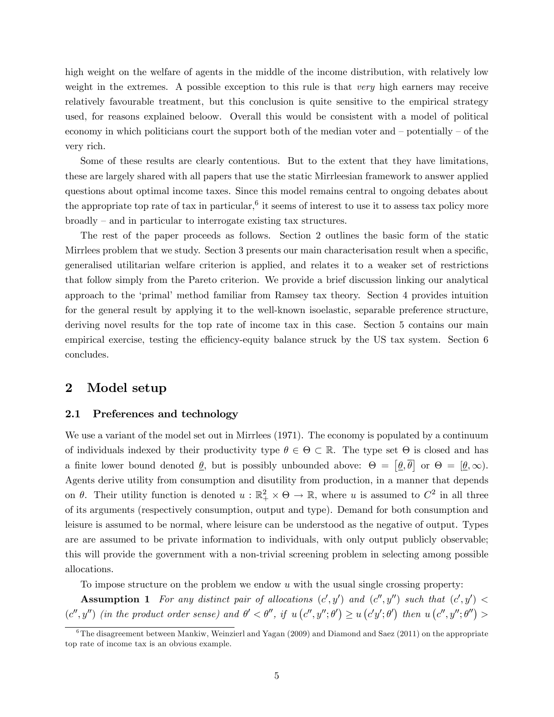high weight on the welfare of agents in the middle of the income distribution, with relatively low weight in the extremes. A possible exception to this rule is that *very* high earners may receive relatively favourable treatment, but this conclusion is quite sensitive to the empirical strategy used, for reasons explained beloow. Overall this would be consistent with a model of political economy in which politicians court the support both of the median voter and  $-\text{potentially } - \text{of the}$ very rich.

Some of these results are clearly contentious. But to the extent that they have limitations, these are largely shared with all papers that use the static Mirrleesian framework to answer applied questions about optimal income taxes. Since this model remains central to ongoing debates about the appropriate top rate of tax in particular,  $6$  it seems of interest to use it to assess tax policy more  $broadly - and in particular to interrogate existing tax structures.$ 

The rest of the paper proceeds as follows. Section 2 outlines the basic form of the static Mirrlees problem that we study. Section 3 presents our main characterisation result when a specific, generalised utilitarian welfare criterion is applied, and relates it to a weaker set of restrictions that follow simply from the Pareto criterion. We provide a brief discussion linking our analytical approach to the 'primal' method familiar from Ramsey tax theory. Section 4 provides intuition for the general result by applying it to the well-known isoelastic, separable preference structure, deriving novel results for the top rate of income tax in this case. Section 5 contains our main empirical exercise, testing the efficiency-equity balance struck by the US tax system. Section 6 concludes.

## 2 Model setup

## 2.1 Preferences and technology

We use a variant of the model set out in Mirrlees  $(1971)$ . The economy is populated by a continuum of individuals indexed by their productivity type  $\theta \in \Theta \subset \mathbb{R}$ . The type set  $\Theta$  is closed and has a finite lower bound denoted  $\underline{\theta}$ , but is possibly unbounded above:  $\Theta = [\underline{\theta}, \overline{\theta}]$  or  $\Theta = [\underline{\theta}, \infty)$ . Agents derive utility from consumption and disutility from production, in a manner that depends on  $\theta$ . Their utility function is denoted  $u : \mathbb{R}_+^2 \times \Theta \to \mathbb{R}$ , where u is assumed to  $C^2$  in all three of its arguments (respectively consumption, output and type). Demand for both consumption and leisure is assumed to be normal, where leisure can be understood as the negative of output. Types are are assumed to be private information to individuals, with only output publicly observable; this will provide the government with a non-trivial screening problem in selecting among possible allocations.

To impose structure on the problem we endow  $u$  with the usual single crossing property:

**Assumption 1** For any distinct pair of allocations  $(c', y')$  and  $(c'', y'')$  such that  $(c', y') <$  $(c'', y'')$  (in the product order sense) and  $\theta' < \theta''$ , if  $u(c'', y''; \theta') \ge u(c'y'; \theta')$  then  $u(c'', y''; \theta'')$ 

 $6$ The disagreement between Mankiw, Weinzierl and Yagan (2009) and Diamond and Saez (2011) on the appropriate top rate of income tax is an obvious example.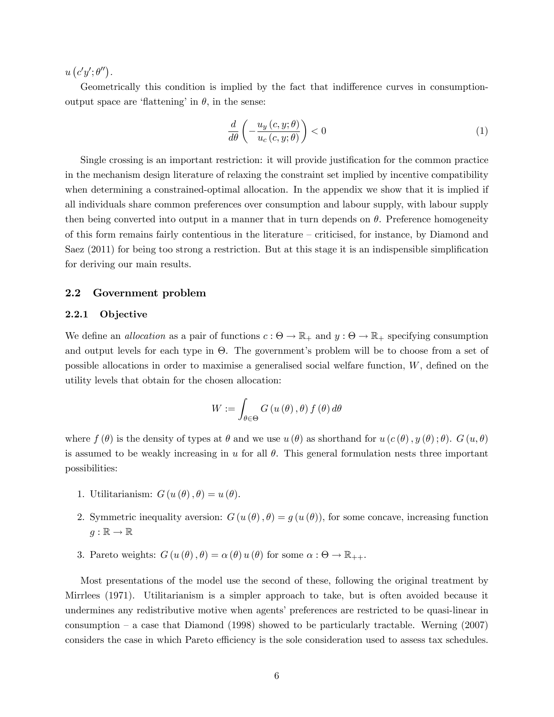$u(c'y';\theta'')$ .

Geometrically this condition is implied by the fact that indifference curves in consumptionoutput space are 'flattening' in  $\theta$ , in the sense:

$$
\frac{d}{d\theta} \left( -\frac{u_y(c, y; \theta)}{u_c(c, y; \theta)} \right) < 0 \tag{1}
$$

Single crossing is an important restriction: it will provide justification for the common practice in the mechanism design literature of relaxing the constraint set implied by incentive compatibility when determining a constrained-optimal allocation. In the appendix we show that it is implied if all individuals share common preferences over consumption and labour supply, with labour supply then being converted into output in a manner that in turn depends on  $\theta$ . Preference homogeneity of this form remains fairly contentious in the literature  $-$  criticised, for instance, by Diamond and Saez  $(2011)$  for being too strong a restriction. But at this stage it is an indispensible simplification for deriving our main results.

## 2.2 Government problem

## 2.2.1 Objective

We define an *allocation* as a pair of functions  $c: \Theta \to \mathbb{R}_+$  and  $y: \Theta \to \mathbb{R}_+$  specifying consumption and output levels for each type in  $\Theta$ . The government's problem will be to choose from a set of possible allocations in order to maximise a generalised social welfare function,  $W$ , defined on the utility levels that obtain for the chosen allocation:

$$
W := \int_{\theta \in \Theta} G(u(\theta), \theta) f(\theta) d\theta
$$

where  $f(\theta)$  is the density of types at  $\theta$  and we use  $u(\theta)$  as shorthand for  $u(c(\theta), y(\theta); \theta)$ .  $G(u, \theta)$ is assumed to be weakly increasing in u for all  $\theta$ . This general formulation nests three important possibilities:

- 1. Utilitarianism:  $G(u(\theta), \theta) = u(\theta)$ .
- 2. Symmetric inequality aversion:  $G(u(\theta), \theta) = g(u(\theta))$ , for some concave, increasing function  $g : \mathbb{R} \to \mathbb{R}$
- 3. Pareto weights:  $G(u(\theta), \theta) = \alpha(\theta) u(\theta)$  for some  $\alpha : \Theta \to \mathbb{R}_{++}$ .

Most presentations of the model use the second of these, following the original treatment by Mirrlees (1971). Utilitarianism is a simpler approach to take, but is often avoided because it undermines any redistributive motive when agents' preferences are restricted to be quasi-linear in consumption – a case that Diamond (1998) showed to be particularly tractable. Werning  $(2007)$ considers the case in which Pareto efficiency is the sole consideration used to assess tax schedules.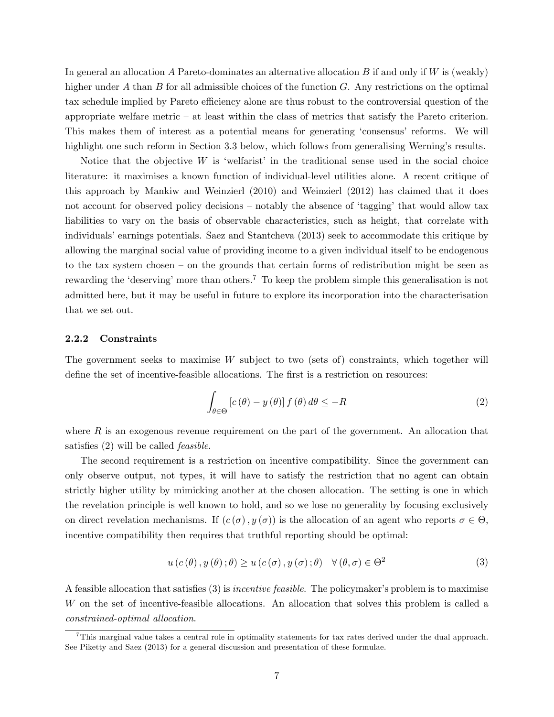In general an allocation A Pareto-dominates an alternative allocation B if and only if  $W$  is (weakly) higher under A than B for all admissible choices of the function  $G$ . Any restrictions on the optimal tax schedule implied by Pareto efficiency alone are thus robust to the controversial question of the appropriate welfare metric  $-$  at least within the class of metrics that satisfy the Pareto criterion. This makes them of interest as a potential means for generating 'consensus' reforms. We will highlight one such reform in Section 3.3 below, which follows from generalising Werning's results.

Notice that the objective  $W$  is 'welfarist' in the traditional sense used in the social choice literature: it maximises a known function of individual-level utilities alone. A recent critique of this approach by Mankiw and Weinzierl (2010) and Weinzierl (2012) has claimed that it does not account for observed policy decisions – notably the absence of 'tagging' that would allow tax liabilities to vary on the basis of observable characteristics, such as height, that correlate with individuals' earnings potentials. Saez and Stantcheva (2013) seek to accommodate this critique by allowing the marginal social value of providing income to a given individual itself to be endogenous to the tax system chosen  $-$  on the grounds that certain forms of redistribution might be seen as rewarding the 'deserving' more than others.<sup>7</sup> To keep the problem simple this generalisation is not admitted here, but it may be useful in future to explore its incorporation into the characterisation that we set out.

## 2.2.2 Constraints

The government seeks to maximise  $W$  subject to two (sets of) constraints, which together will define the set of incentive-feasible allocations. The first is a restriction on resources:

$$
\int_{\theta \in \Theta} \left[ c(\theta) - y(\theta) \right] f(\theta) d\theta \le -R \tag{2}
$$

where  $R$  is an exogenous revenue requirement on the part of the government. An allocation that satisfies  $(2)$  will be called *feasible*.

The second requirement is a restriction on incentive compatibility. Since the government can only observe output, not types, it will have to satisfy the restriction that no agent can obtain strictly higher utility by mimicking another at the chosen allocation. The setting is one in which the revelation principle is well known to hold, and so we lose no generality by focusing exclusively on direct revelation mechanisms. If  $(c(\sigma), y(\sigma))$  is the allocation of an agent who reports  $\sigma \in \Theta$ , incentive compatibility then requires that truthful reporting should be optimal:

$$
u(c(\theta), y(\theta); \theta) \ge u(c(\sigma), y(\sigma); \theta) \quad \forall (\theta, \sigma) \in \Theta^2
$$
 (3)

A feasible allocation that satisfies  $(3)$  is *incentive feasible*. The policymaker's problem is to maximise W on the set of incentive-feasible allocations. An allocation that solves this problem is called a constrained-optimal allocation.

 $^7$ This marginal value takes a central role in optimality statements for tax rates derived under the dual approach. See Piketty and Saez (2013) for a general discussion and presentation of these formulae.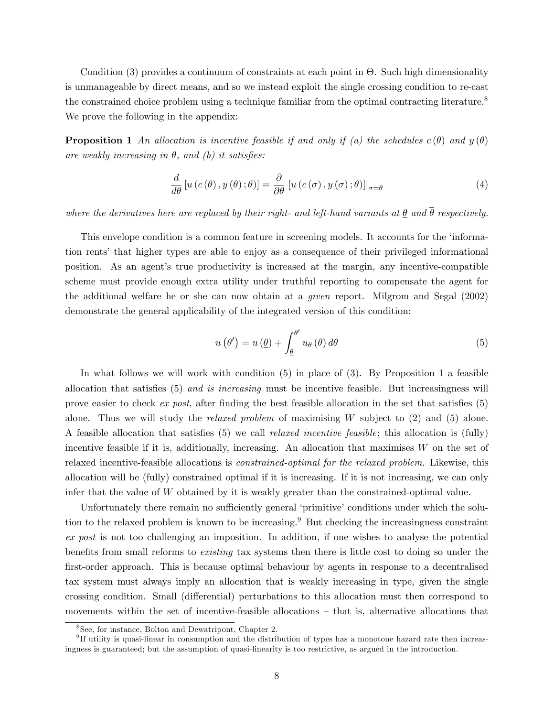Condition (3) provides a continuum of constraints at each point in  $\Theta$ . Such high dimensionality is unmanageable by direct means, and so we instead exploit the single crossing condition to re-cast the constrained choice problem using a technique familiar from the optimal contracting literature.<sup>8</sup> We prove the following in the appendix:

**Proposition 1** An allocation is incentive feasible if and only if (a) the schedules  $c(\theta)$  and  $y(\theta)$ are weakly increasing in  $\theta$ , and (b) it satisfies:

$$
\frac{d}{d\theta}\left[u\left(c\left(\theta\right),y\left(\theta\right);\theta\right)\right]=\frac{\partial}{\partial\theta}\left[u\left(c\left(\sigma\right),y\left(\sigma\right);\theta\right)\right]\right|_{\sigma=\theta} \tag{4}
$$

where the derivatives here are replaced by their right- and left-hand variants at  $\theta$  and  $\overline{\theta}$  respectively.

This envelope condition is a common feature in screening models. It accounts for the 'information rentsí that higher types are able to enjoy as a consequence of their privileged informational position. As an agent's true productivity is increased at the margin, any incentive-compatible scheme must provide enough extra utility under truthful reporting to compensate the agent for the additional welfare he or she can now obtain at a given report. Milgrom and Segal (2002) demonstrate the general applicability of the integrated version of this condition:

$$
u(\theta') = u(\underline{\theta}) + \int_{\underline{\theta}}^{\theta'} u_{\theta}(\theta) d\theta \tag{5}
$$

In what follows we will work with condition  $(5)$  in place of  $(3)$ . By Proposition 1 a feasible allocation that satisfies  $(5)$  and is increasing must be incentive feasible. But increasingness will prove easier to check  $ex$  post, after finding the best feasible allocation in the set that satisfies  $(5)$ alone. Thus we will study the *relaxed problem* of maximising  $W$  subject to  $(2)$  and  $(5)$  alone. A feasible allocation that satisfies  $(5)$  we call *relaxed incentive feasible*; this allocation is (fully) incentive feasible if it is, additionally, increasing. An allocation that maximises W on the set of relaxed incentive-feasible allocations is constrained-optimal for the relaxed problem. Likewise, this allocation will be (fully) constrained optimal if it is increasing. If it is not increasing, we can only infer that the value of W obtained by it is weakly greater than the constrained-optimal value.

Unfortunately there remain no sufficiently general 'primitive' conditions under which the solution to the relaxed problem is known to be increasing.<sup>9</sup> But checking the increasingness constraint ex post is not too challenging an imposition. In addition, if one wishes to analyse the potential benefits from small reforms to *existing* tax systems then there is little cost to doing so under the first-order approach. This is because optimal behaviour by agents in response to a decentralised tax system must always imply an allocation that is weakly increasing in type, given the single crossing condition. Small (differential) perturbations to this allocation must then correspond to movements within the set of incentive-feasible allocations  $-$  that is, alternative allocations that

<sup>8</sup> See, for instance, Bolton and Dewatripont, Chapter 2.

<sup>&</sup>lt;sup>9</sup>If utility is quasi-linear in consumption and the distribution of types has a monotone hazard rate then increasingness is guaranteed; but the assumption of quasi-linearity is too restrictive, as argued in the introduction.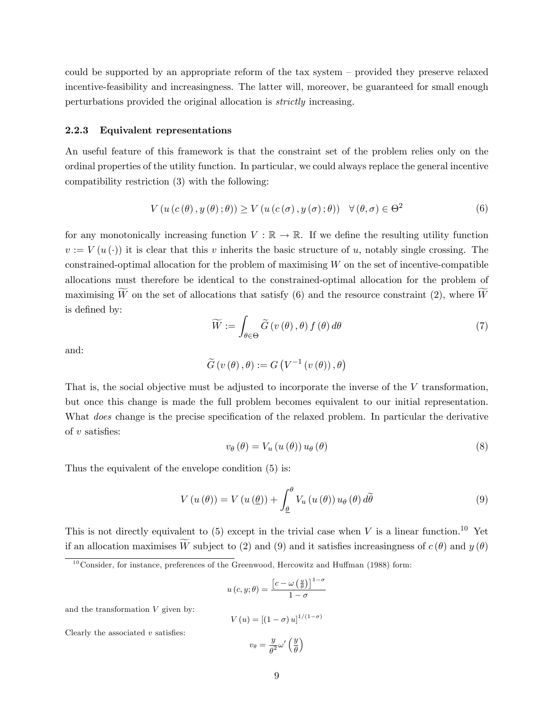could be supported by an appropriate reform of the tax system  $-$  provided they preserve relaxed incentive-feasibility and increasingness. The latter will, moreover, be guaranteed for small enough perturbations provided the original allocation is strictly increasing.

#### 2.2.3 Equivalent representations

An useful feature of this framework is that the constraint set of the problem relies only on the ordinal properties of the utility function. In particular, we could always replace the general incentive compatibility restriction (3) with the following:

$$
V(u(c(\theta), y(\theta); \theta)) \ge V(u(c(\sigma), y(\sigma); \theta)) \quad \forall (\theta, \sigma) \in \Theta^2
$$
 (6)

for any monotonically increasing function  $V : \mathbb{R} \to \mathbb{R}$ . If we define the resulting utility function  $v := V(u(\cdot))$  it is clear that this v inherits the basic structure of u, notably single crossing. The  $\alpha$  constrained-optimal allocation for the problem of maximising  $W$  on the set of incentive-compatible allocations must therefore be identical to the constrained-optimal allocation for the problem of maximising W on the set of allocations that satisfy (6) and the resource constraint (2), where  $\widetilde{W}$ is defined by:

$$
\widetilde{W} := \int_{\theta \in \Theta} \widetilde{G} \left( v \left( \theta \right), \theta \right) f \left( \theta \right) d\theta \tag{7}
$$

and:

$$
\widetilde{G}\left(v\left(\theta\right),\theta\right):=G\left(V^{-1}\left(v\left(\theta\right)\right),\theta\right)
$$

That is, the social objective must be adjusted to incorporate the inverse of the V transformation, but once this change is made the full problem becomes equivalent to our initial representation. What *does* change is the precise specification of the relaxed problem. In particular the derivative of  $v$  satisfies:

$$
v_{\theta}(\theta) = V_u(u(\theta)) u_{\theta}(\theta)
$$
\n
$$
(8)
$$

Thus the equivalent of the envelope condition (5) is:

$$
V(u(\theta)) = V(u(\underline{\theta})) + \int_{\underline{\theta}}^{\theta} V_u(u(\theta)) u_{\theta}(\theta) d\widetilde{\theta}
$$
\n(9)

This is not directly equivalent to (5) except in the trivial case when V is a linear function.<sup>10</sup> Yet if an allocation maximises  $\widetilde{W}$  subject to (2) and (9) and it satisfies increasingness of  $c(\theta)$  and  $y(\theta)$ 

$$
u\left(c,y;\theta\right) = \frac{\left[c-\omega\left(\frac{y}{\theta}\right)\right]^{1-\sigma}}{1-\sigma}
$$

and the transformation  $V$  given by:

$$
V(u) = [(1 - \sigma) u]^{1/(1 - \sigma)}
$$

Clearly the associated  $v$  satisfies:

$$
v_{\theta} = \frac{y}{\theta^2} \omega' \left(\frac{y}{\theta}\right)
$$

 $10$ Consider, for instance, preferences of the Greenwood, Hercowitz and Huffman (1988) form: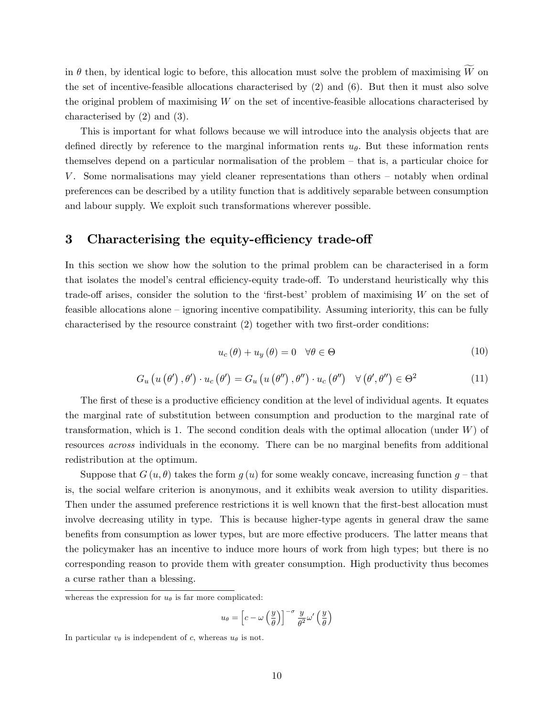in  $\theta$  then, by identical logic to before, this allocation must solve the problem of maximising  $\widetilde{W}$  on the set of incentive-feasible allocations characterised by (2) and (6). But then it must also solve the original problem of maximising  $W$  on the set of incentive-feasible allocations characterised by characterised by (2) and (3).

This is important for what follows because we will introduce into the analysis objects that are defined directly by reference to the marginal information rents  $u_{\theta}$ . But these information rents themselves depend on a particular normalisation of the problem  $-$  that is, a particular choice for V. Some normalisations may yield cleaner representations than others  $\overline{\phantom{a}}$  notably when ordinal preferences can be described by a utility function that is additively separable between consumption and labour supply. We exploit such transformations wherever possible.

## 3 Characterising the equity-efficiency trade-off

In this section we show how the solution to the primal problem can be characterised in a form that isolates the model's central efficiency-equity trade-off. To understand heuristically why this trade-off arises, consider the solution to the 'first-best' problem of maximising  $W$  on the set of feasible allocations alone – ignoring incentive compatibility. Assuming interiority, this can be fully characterised by the resource constraint  $(2)$  together with two first-order conditions:

$$
u_c(\theta) + u_y(\theta) = 0 \quad \forall \theta \in \Theta \tag{10}
$$

$$
G_u(u(\theta'), \theta') \cdot u_c(\theta') = G_u(u(\theta''), \theta'') \cdot u_c(\theta'') \quad \forall (\theta', \theta'') \in \Theta^2
$$
 (11)

The first of these is a productive efficiency condition at the level of individual agents. It equates the marginal rate of substitution between consumption and production to the marginal rate of transformation, which is 1. The second condition deals with the optimal allocation (under  $W$ ) of resources *across* individuals in the economy. There can be no marginal benefits from additional redistribution at the optimum.

Suppose that  $G(u, \theta)$  takes the form  $g(u)$  for some weakly concave, increasing function  $g$  – that is, the social welfare criterion is anonymous, and it exhibits weak aversion to utility disparities. Then under the assumed preference restrictions it is well known that the first-best allocation must involve decreasing utility in type. This is because higher-type agents in general draw the same benefits from consumption as lower types, but are more effective producers. The latter means that the policymaker has an incentive to induce more hours of work from high types; but there is no corresponding reason to provide them with greater consumption. High productivity thus becomes a curse rather than a blessing.

$$
u_{\theta} = \left[c - \omega \left(\frac{y}{\theta}\right)\right]^{-\sigma} \frac{y}{\theta^2} \omega' \left(\frac{y}{\theta}\right)
$$

whereas the expression for  $u_{\theta}$  is far more complicated:

In particular  $v_{\theta}$  is independent of c, whereas  $u_{\theta}$  is not.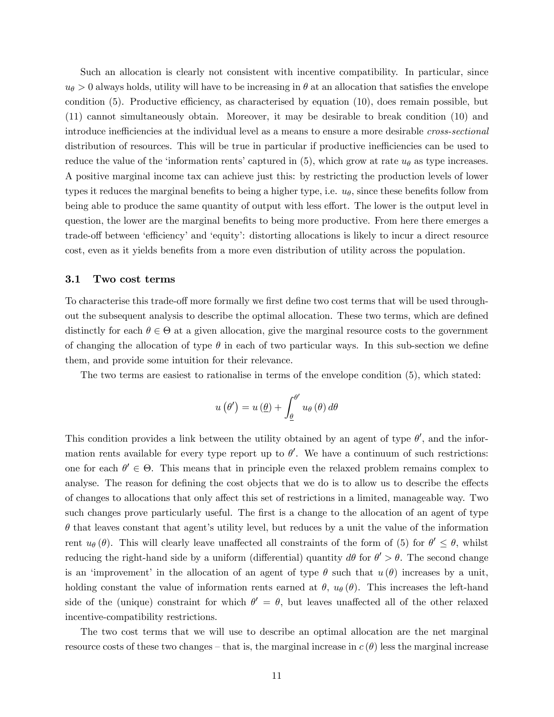Such an allocation is clearly not consistent with incentive compatibility. In particular, since  $u_{\theta} > 0$  always holds, utility will have to be increasing in  $\theta$  at an allocation that satisfies the envelope condition  $(5)$ . Productive efficiency, as characterised by equation  $(10)$ , does remain possible, but (11) cannot simultaneously obtain. Moreover, it may be desirable to break condition (10) and introduce inefficiencies at the individual level as a means to ensure a more desirable *cross-sectional* distribution of resources. This will be true in particular if productive inefficiencies can be used to reduce the value of the 'information rents' captured in (5), which grow at rate  $u_{\theta}$  as type increases. A positive marginal income tax can achieve just this: by restricting the production levels of lower types it reduces the marginal benefits to being a higher type, i.e.  $u_{\theta}$ , since these benefits follow from being able to produce the same quantity of output with less effort. The lower is the output level in question, the lower are the marginal benefits to being more productive. From here there emerges a trade-off between 'efficiency' and 'equity': distorting allocations is likely to incur a direct resource cost, even as it yields benefits from a more even distribution of utility across the population.

#### 3.1 Two cost terms

To characterise this trade-off more formally we first define two cost terms that will be used throughout the subsequent analysis to describe the optimal allocation. These two terms, which are defined distinctly for each  $\theta \in \Theta$  at a given allocation, give the marginal resource costs to the government of changing the allocation of type  $\theta$  in each of two particular ways. In this sub-section we define them, and provide some intuition for their relevance.

The two terms are easiest to rationalise in terms of the envelope condition (5), which stated:

$$
u(\theta') = u(\underline{\theta}) + \int_{\underline{\theta}}^{\theta'} u_{\theta}(\theta) d\theta
$$

This condition provides a link between the utility obtained by an agent of type  $\theta'$ , and the information rents available for every type report up to  $\theta'$ . We have a continuum of such restrictions: one for each  $\theta' \in \Theta$ . This means that in principle even the relaxed problem remains complex to analyse. The reason for defining the cost objects that we do is to allow us to describe the effects of changes to allocations that only affect this set of restrictions in a limited, manageable way. Two such changes prove particularly useful. The first is a change to the allocation of an agent of type  $\theta$  that leaves constant that agent's utility level, but reduces by a unit the value of the information rent  $u_{\theta}(\theta)$ . This will clearly leave unaffected all constraints of the form of (5) for  $\theta' \leq \theta$ , whilst reducing the right-hand side by a uniform (differential) quantity  $d\theta$  for  $\theta' > \theta$ . The second change is an 'improvement' in the allocation of an agent of type  $\theta$  such that  $u(\theta)$  increases by a unit, holding constant the value of information rents earned at  $\theta$ ,  $u_{\theta}(\theta)$ . This increases the left-hand side of the (unique) constraint for which  $\theta' = \theta$ , but leaves unaffected all of the other relaxed incentive-compatibility restrictions.

The two cost terms that we will use to describe an optimal allocation are the net marginal resource costs of these two changes – that is, the marginal increase in  $c(\theta)$  less the marginal increase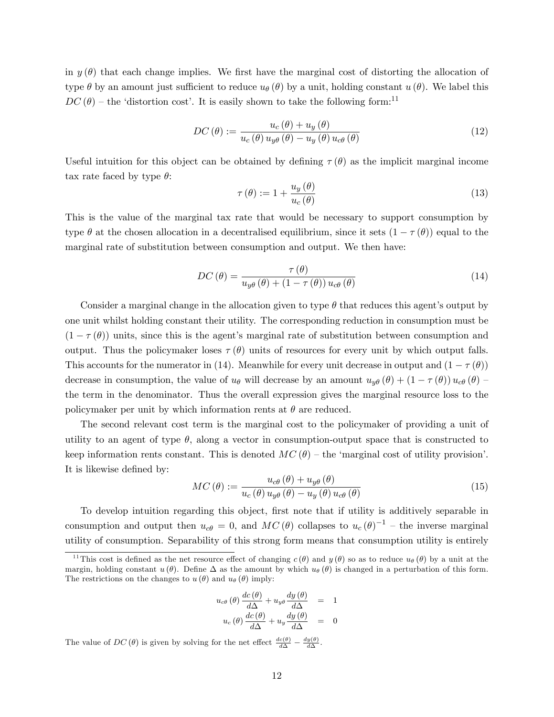in  $y(\theta)$  that each change implies. We first have the marginal cost of distorting the allocation of type  $\theta$  by an amount just sufficient to reduce  $u_{\theta}(\theta)$  by a unit, holding constant  $u(\theta)$ . We label this  $DC(\theta)$  – the 'distortion cost'. It is easily shown to take the following form:<sup>11</sup>

$$
DC(\theta) := \frac{u_c(\theta) + u_y(\theta)}{u_c(\theta) u_{y\theta}(\theta) - u_y(\theta) u_{c\theta}(\theta)}
$$
(12)

Useful intuition for this object can be obtained by defining  $\tau(\theta)$  as the implicit marginal income tax rate faced by type  $\theta$ :

$$
\tau(\theta) := 1 + \frac{u_y(\theta)}{u_c(\theta)}\tag{13}
$$

This is the value of the marginal tax rate that would be necessary to support consumption by type  $\theta$  at the chosen allocation in a decentralised equilibrium, since it sets  $(1 - \tau(\theta))$  equal to the marginal rate of substitution between consumption and output. We then have:

$$
DC(\theta) = \frac{\tau(\theta)}{u_{y\theta}(\theta) + (1 - \tau(\theta))u_{c\theta}(\theta)}
$$
(14)

Consider a marginal change in the allocation given to type  $\theta$  that reduces this agent's output by one unit whilst holding constant their utility. The corresponding reduction in consumption must be  $(1 - \tau(\theta))$  units, since this is the agent's marginal rate of substitution between consumption and output. Thus the policymaker loses  $\tau(\theta)$  units of resources for every unit by which output falls. This accounts for the numerator in (14). Meanwhile for every unit decrease in output and  $(1 - \tau(\theta))$ decrease in consumption, the value of  $u_{\theta}$  will decrease by an amount  $u_{y\theta}(\theta) + (1 - \tau(\theta)) u_{c\theta}(\theta)$ the term in the denominator. Thus the overall expression gives the marginal resource loss to the policymaker per unit by which information rents at  $\theta$  are reduced.

The second relevant cost term is the marginal cost to the policymaker of providing a unit of utility to an agent of type  $\theta$ , along a vector in consumption-output space that is constructed to keep information rents constant. This is denoted  $MC(\theta)$  – the 'marginal cost of utility provision'. It is likewise defined by:

$$
MC(\theta) := \frac{u_{c\theta}(\theta) + u_{y\theta}(\theta)}{u_c(\theta) u_{y\theta}(\theta) - u_y(\theta) u_{c\theta}(\theta)}
$$
(15)

To develop intuition regarding this object, first note that if utility is additively separable in consumption and output then  $u_{c\theta} = 0$ , and  $MC(\theta)$  collapses to  $u_c(\theta)^{-1}$  – the inverse marginal utility of consumption. Separability of this strong form means that consumption utility is entirely

$$
u_{c\theta}(\theta) \frac{dc(\theta)}{d\Delta} + u_{y\theta} \frac{dy(\theta)}{d\Delta} = 1
$$
  

$$
u_c(\theta) \frac{dc(\theta)}{d\Delta} + u_y \frac{dy(\theta)}{d\Delta} = 0
$$

The value of  $DC(\theta)$  is given by solving for the net effect  $\frac{dc(\theta)}{d\Delta} - \frac{dy(\theta)}{d\Delta}$ .

<sup>&</sup>lt;sup>11</sup>This cost is defined as the net resource effect of changing  $c(\theta)$  and  $y(\theta)$  so as to reduce  $u_{\theta}(\theta)$  by a unit at the margin, holding constant  $u(\theta)$ . Define  $\Delta$  as the amount by which  $u_{\theta}(\theta)$  is changed in a perturbation of this form. The restrictions on the changes to  $u(\theta)$  and  $u_{\theta}(\theta)$  imply: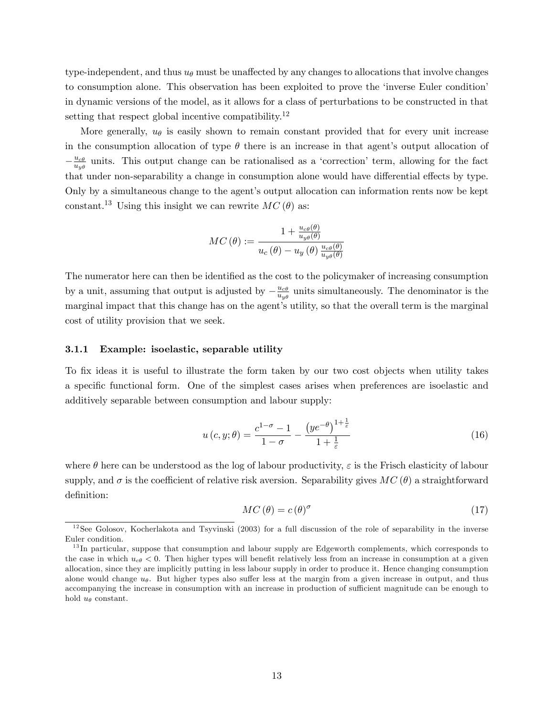type-independent, and thus  $u_{\theta}$  must be unaffected by any changes to allocations that involve changes to consumption alone. This observation has been exploited to prove the 'inverse Euler condition' in dynamic versions of the model, as it allows for a class of perturbations to be constructed in that setting that respect global incentive compatibility.<sup>12</sup>

More generally,  $u_{\theta}$  is easily shown to remain constant provided that for every unit increase in the consumption allocation of type  $\theta$  there is an increase in that agent's output allocation of  $-\frac{u_{c\theta}}{u_{y\theta}}$  $\frac{u_{c\theta}}{u_{y\theta}}$  units. This output change can be rationalised as a 'correction' term, allowing for the fact that under non-separability a change in consumption alone would have differential effects by type. Only by a simultaneous change to the agent's output allocation can information rents now be kept constant.<sup>13</sup> Using this insight we can rewrite  $MC(\theta)$  as:

$$
MC(\theta) := \frac{1 + \frac{u_{c\theta}(\theta)}{u_{y\theta}(\theta)}}{u_c(\theta) - u_y(\theta) \frac{u_{c\theta}(\theta)}{u_{y\theta}(\theta)}}
$$

The numerator here can then be identified as the cost to the policymaker of increasing consumption by a unit, assuming that output is adjusted by  $-\frac{u_{c\theta}}{u_{y\theta}}$  $\frac{u_{c\theta}}{u_{y\theta}}$  units simultaneously. The denominator is the marginal impact that this change has on the agent's utility, so that the overall term is the marginal cost of utility provision that we seek.

## 3.1.1 Example: isoelastic, separable utility

To fix ideas it is useful to illustrate the form taken by our two cost objects when utility takes a specific functional form. One of the simplest cases arises when preferences are isoelastic and additively separable between consumption and labour supply:

$$
u(c, y; \theta) = \frac{c^{1-\sigma} - 1}{1 - \sigma} - \frac{(ye^{-\theta})^{1+\frac{1}{\varepsilon}}}{1 + \frac{1}{\varepsilon}}
$$
(16)

where  $\theta$  here can be understood as the log of labour productivity,  $\varepsilon$  is the Frisch elasticity of labour supply, and  $\sigma$  is the coefficient of relative risk aversion. Separability gives  $MC(\theta)$  a straightforward definition:

$$
MC(\theta) = c(\theta)^{\sigma}
$$
 (17)

 $12$ See Golosov, Kocherlakota and Tsyvinski (2003) for a full discussion of the role of separability in the inverse Euler condition.

<sup>&</sup>lt;sup>13</sup>In particular, suppose that consumption and labour supply are Edgeworth complements, which corresponds to the case in which  $u_{c\theta} < 0$ . Then higher types will benefit relatively less from an increase in consumption at a given allocation, since they are implicitly putting in less labour supply in order to produce it. Hence changing consumption alone would change  $u_{\theta}$ . But higher types also suffer less at the margin from a given increase in output, and thus accompanying the increase in consumption with an increase in production of sufficient magnitude can be enough to hold  $u_{\theta}$  constant.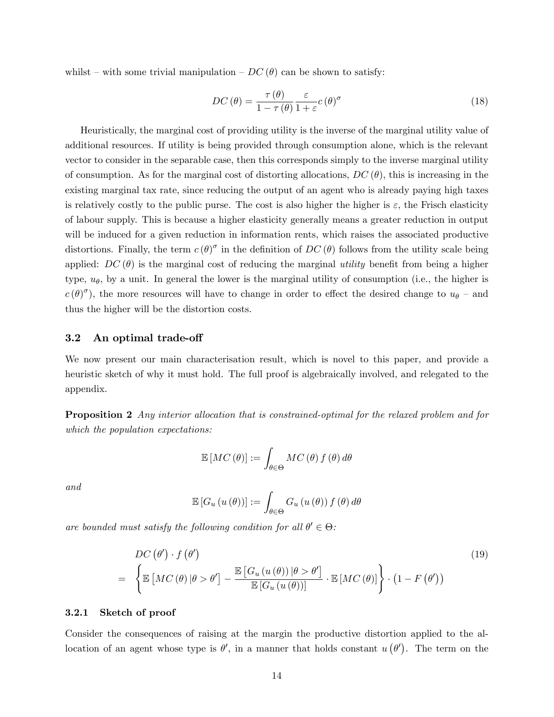whilst – with some trivial manipulation –  $DC(\theta)$  can be shown to satisfy:

$$
DC(\theta) = \frac{\tau(\theta)}{1 - \tau(\theta)} \frac{\varepsilon}{1 + \varepsilon} c(\theta)^{\sigma}
$$
 (18)

Heuristically, the marginal cost of providing utility is the inverse of the marginal utility value of additional resources. If utility is being provided through consumption alone, which is the relevant vector to consider in the separable case, then this corresponds simply to the inverse marginal utility of consumption. As for the marginal cost of distorting allocations,  $DC(\theta)$ , this is increasing in the existing marginal tax rate, since reducing the output of an agent who is already paying high taxes is relatively costly to the public purse. The cost is also higher the higher is  $\varepsilon$ , the Frisch elasticity of labour supply. This is because a higher elasticity generally means a greater reduction in output will be induced for a given reduction in information rents, which raises the associated productive distortions. Finally, the term  $c(\theta)^\sigma$  in the definition of  $DC(\theta)$  follows from the utility scale being applied:  $DC(\theta)$  is the marginal cost of reducing the marginal *utility* benefit from being a higher type,  $u_{\theta}$ , by a unit. In general the lower is the marginal utility of consumption (i.e., the higher is  $c(\theta)^\sigma$ , the more resources will have to change in order to effect the desired change to  $u_\theta$  – and thus the higher will be the distortion costs.

## 3.2 An optimal trade-off

We now present our main characterisation result, which is novel to this paper, and provide a heuristic sketch of why it must hold. The full proof is algebraically involved, and relegated to the appendix.

**Proposition 2** Any interior allocation that is constrained-optimal for the relaxed problem and for which the population expectations:

$$
\mathbb{E}\left[MC\left(\theta\right)\right] := \int_{\theta \in \Theta} MC\left(\theta\right) f\left(\theta\right) d\theta
$$

and

$$
\mathbb{E}\left[G_u\left(u\left(\theta\right)\right)\right] := \int_{\theta \in \Theta} G_u\left(u\left(\theta\right)\right) f\left(\theta\right) d\theta
$$

are bounded must satisfy the following condition for all  $\theta' \in \Theta$ :

$$
DC(\theta') \cdot f(\theta')
$$
\n
$$
= \left\{ \mathbb{E}\left[ MC(\theta) | \theta > \theta' \right] - \frac{\mathbb{E}\left[ G_u(u(\theta)) | \theta > \theta' \right]}{\mathbb{E}\left[ G_u(u(\theta)) \right]} \cdot \mathbb{E}\left[ MC(\theta) \right] \right\} \cdot \left( 1 - F(\theta') \right) \tag{19}
$$

### 3.2.1 Sketch of proof

Consider the consequences of raising at the margin the productive distortion applied to the allocation of an agent whose type is  $\theta'$ , in a manner that holds constant  $u(\theta')$ . The term on the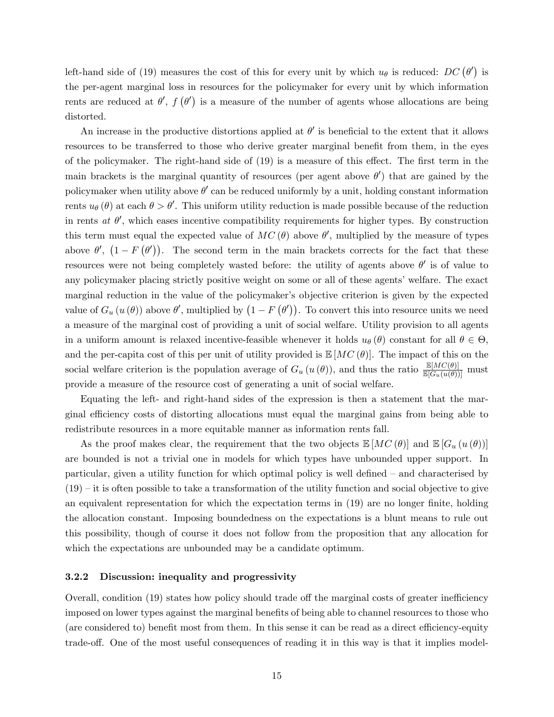left-hand side of (19) measures the cost of this for every unit by which  $u_{\theta}$  is reduced:  $DC(\theta')$  is the per-agent marginal loss in resources for the policymaker for every unit by which information rents are reduced at  $\theta'$ ,  $f(\theta')$  is a measure of the number of agents whose allocations are being distorted.

An increase in the productive distortions applied at  $\theta'$  is beneficial to the extent that it allows resources to be transferred to those who derive greater marginal benefit from them, in the eyes of the policymaker. The right-hand side of  $(19)$  is a measure of this effect. The first term in the main brackets is the marginal quantity of resources (per agent above  $\theta'$ ) that are gained by the policymaker when utility above  $\theta'$  can be reduced uniformly by a unit, holding constant information rents  $u_{\theta}(\theta)$  at each  $\theta > \theta'$ . This uniform utility reduction is made possible because of the reduction in rents at  $\theta'$ , which eases incentive compatibility requirements for higher types. By construction this term must equal the expected value of  $MC(\theta)$  above  $\theta'$ , multiplied by the measure of types above  $\theta'$ ,  $(1 - F(\theta'))$ . The second term in the main brackets corrects for the fact that these resources were not being completely wasted before: the utility of agents above  $\theta'$  is of value to any policymaker placing strictly positive weight on some or all of these agents' welfare. The exact marginal reduction in the value of the policymaker's objective criterion is given by the expected value of  $G_u(u(\theta))$  above  $\theta'$ , multiplied by  $(1 - F(\theta'))$ . To convert this into resource units we need a measure of the marginal cost of providing a unit of social welfare. Utility provision to all agents in a uniform amount is relaxed incentive-feasible whenever it holds  $u_{\theta}(\theta)$  constant for all  $\theta \in \Theta$ , and the per-capita cost of this per unit of utility provided is  $\mathbb{E}[MC(\theta)].$  The impact of this on the social welfare criterion is the population average of  $G_u(u(\theta))$ , and thus the ratio  $\frac{\mathbb{E}[MC(\theta)]}{\mathbb{E}[G_u(u(\theta))] }$  must provide a measure of the resource cost of generating a unit of social welfare.

Equating the left- and right-hand sides of the expression is then a statement that the marginal efficiency costs of distorting allocations must equal the marginal gains from being able to redistribute resources in a more equitable manner as information rents fall.

As the proof makes clear, the requirement that the two objects  $\mathbb{E}[MC(\theta)]$  and  $\mathbb{E}[G_u(u(\theta))]$ are bounded is not a trivial one in models for which types have unbounded upper support. In particular, given a utility function for which optimal policy is well defined – and characterised by  $(19)$  – it is often possible to take a transformation of the utility function and social objective to give an equivalent representation for which the expectation terms in (19) are no longer finite, holding the allocation constant. Imposing boundedness on the expectations is a blunt means to rule out this possibility, though of course it does not follow from the proposition that any allocation for which the expectations are unbounded may be a candidate optimum.

## 3.2.2 Discussion: inequality and progressivity

Overall, condition (19) states how policy should trade off the marginal costs of greater inefficiency imposed on lower types against the marginal benefits of being able to channel resources to those who (are considered to) benefit most from them. In this sense it can be read as a direct efficiency-equity trade-off. One of the most useful consequences of reading it in this way is that it implies model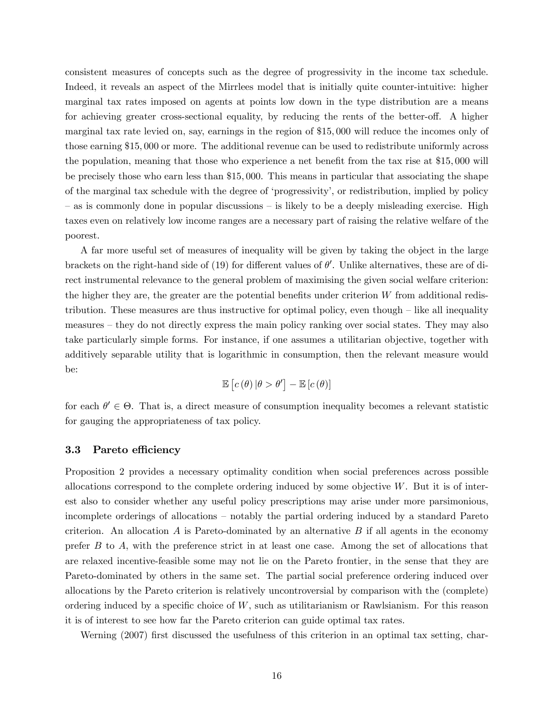consistent measures of concepts such as the degree of progressivity in the income tax schedule. Indeed, it reveals an aspect of the Mirrlees model that is initially quite counter-intuitive: higher marginal tax rates imposed on agents at points low down in the type distribution are a means for achieving greater cross-sectional equality, by reducing the rents of the better-off. A higher marginal tax rate levied on, say, earnings in the region of \$15; 000 will reduce the incomes only of those earning \$15; 000 or more. The additional revenue can be used to redistribute uniformly across the population, meaning that those who experience a net benefit from the tax rise at  $$15,000$  will be precisely those who earn less than \$15; 000. This means in particular that associating the shape of the marginal tax schedule with the degree of 'progressivity', or redistribution, implied by policy  $\alpha$  as is commonly done in popular discussions  $\alpha$  is likely to be a deeply misleading exercise. High taxes even on relatively low income ranges are a necessary part of raising the relative welfare of the poorest.

A far more useful set of measures of inequality will be given by taking the object in the large brackets on the right-hand side of (19) for different values of  $\theta'$ . Unlike alternatives, these are of direct instrumental relevance to the general problem of maximising the given social welfare criterion: the higher they are, the greater are the potential benefits under criterion  $W$  from additional redistribution. These measures are thus instructive for optimal policy, even though  $-$  like all inequality measures – they do not directly express the main policy ranking over social states. They may also take particularly simple forms. For instance, if one assumes a utilitarian objective, together with additively separable utility that is logarithmic in consumption, then the relevant measure would be:

$$
\mathbb{E}\left[c\left(\theta\right)|\theta>\theta^{\prime}\right]-\mathbb{E}\left[c\left(\theta\right)\right]
$$

for each  $\theta' \in \Theta$ . That is, a direct measure of consumption inequality becomes a relevant statistic for gauging the appropriateness of tax policy.

## 3.3 Pareto efficiency

Proposition 2 provides a necessary optimality condition when social preferences across possible allocations correspond to the complete ordering induced by some objective  $W$ . But it is of interest also to consider whether any useful policy prescriptions may arise under more parsimonious, incomplete orderings of allocations – notably the partial ordering induced by a standard Pareto criterion. An allocation  $A$  is Pareto-dominated by an alternative  $B$  if all agents in the economy prefer  $B$  to  $A$ , with the preference strict in at least one case. Among the set of allocations that are relaxed incentive-feasible some may not lie on the Pareto frontier, in the sense that they are Pareto-dominated by others in the same set. The partial social preference ordering induced over allocations by the Pareto criterion is relatively uncontroversial by comparison with the (complete) ordering induced by a specific choice of  $W$ , such as utilitarianism or Rawlsianism. For this reason it is of interest to see how far the Pareto criterion can guide optimal tax rates.

Werning (2007) first discussed the usefulness of this criterion in an optimal tax setting, char-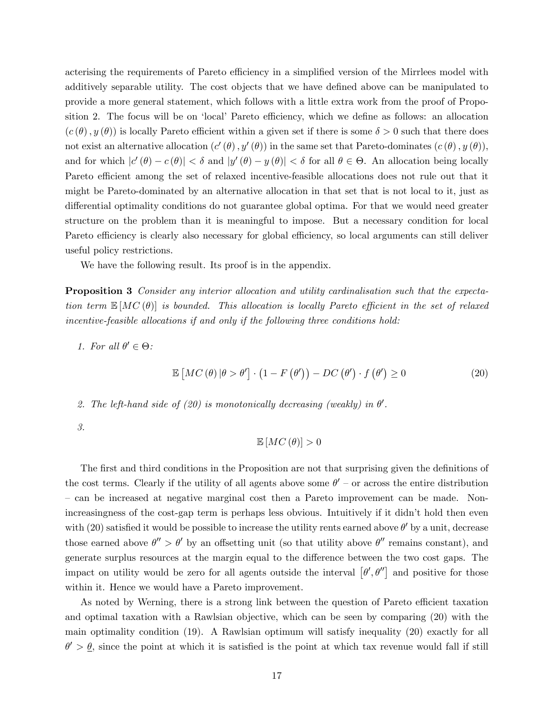acterising the requirements of Pareto efficiency in a simplified version of the Mirrlees model with additively separable utility. The cost objects that we have defined above can be manipulated to provide a more general statement, which follows with a little extra work from the proof of Proposition 2. The focus will be on 'local' Pareto efficiency, which we define as follows: an allocation  $(c(\theta), y(\theta))$  is locally Pareto efficient within a given set if there is some  $\delta > 0$  such that there does not exist an alternative allocation  $(c'(\theta), y'(\theta))$  in the same set that Pareto-dominates  $(c(\theta), y(\theta))$ , and for which  $|c'(\theta) - c(\theta)| < \delta$  and  $|y'(\theta) - y(\theta)| < \delta$  for all  $\theta \in \Theta$ . An allocation being locally Pareto efficient among the set of relaxed incentive-feasible allocations does not rule out that it might be Pareto-dominated by an alternative allocation in that set that is not local to it, just as differential optimality conditions do not guarantee global optima. For that we would need greater structure on the problem than it is meaningful to impose. But a necessary condition for local Pareto efficiency is clearly also necessary for global efficiency, so local arguments can still deliver useful policy restrictions.

We have the following result. Its proof is in the appendix.

Proposition 3 Consider any interior allocation and utility cardinalisation such that the expectation term  $\mathbb{E}[MC(\theta)]$  is bounded. This allocation is locally Pareto efficient in the set of relaxed incentive-feasible allocations if and only if the following three conditions hold:

1. For all  $\theta' \in \Theta$ :

 $\mathbb{E}\left[MC\left(\theta\right)|\theta>\theta^{\prime}\right]\cdot\left(1-F\left(\theta^{\prime}\right)\right)-DC\left(\theta^{\prime}\right)\cdot f\left(\theta^{\prime}\right)$  $(20)$ 

2. The left-hand side of (20) is monotonically decreasing (weakly) in  $\theta'$ .

3.

$$
\mathbb{E}\left[MC\left(\theta\right)\right]>0
$$

The first and third conditions in the Proposition are not that surprising given the definitions of the cost terms. Clearly if the utility of all agents above some  $\theta'$  – or across the entire distribution – can be increased at negative marginal cost then a Pareto improvement can be made. Nonincreasingness of the cost-gap term is perhaps less obvious. Intuitively if it didn't hold then even with (20) satisfied it would be possible to increase the utility rents earned above  $\theta'$  by a unit, decrease those earned above  $\theta'' > \theta'$  by an offsetting unit (so that utility above  $\theta''$  remains constant), and generate surplus resources at the margin equal to the difference between the two cost gaps. The impact on utility would be zero for all agents outside the interval  $[\theta', \theta'']$  and positive for those within it. Hence we would have a Pareto improvement.

As noted by Werning, there is a strong link between the question of Pareto efficient taxation and optimal taxation with a Rawlsian objective, which can be seen by comparing (20) with the main optimality condition (19). A Rawlsian optimum will satisfy inequality (20) exactly for all  $\theta' > \theta$ , since the point at which it is satisfied is the point at which tax revenue would fall if still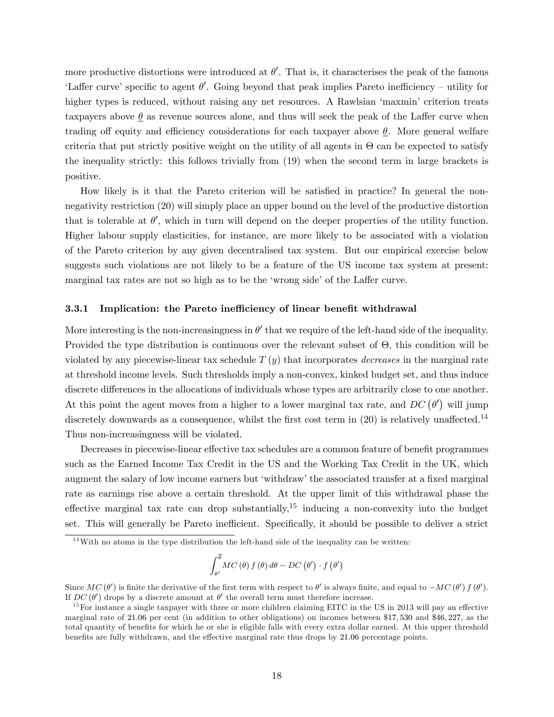more productive distortions were introduced at  $\theta'$ . That is, it characterises the peak of the famous 'Laffer curve' specific to agent  $\theta'$ . Going beyond that peak implies Pareto inefficiency – utility for higher types is reduced, without raising any net resources. A Rawlsian 'maxmin' criterion treats taxpayers above  $\theta$  as revenue sources alone, and thus will seek the peak of the Laffer curve when trading off equity and efficiency considerations for each taxpayer above  $\theta$ . More general welfare criteria that put strictly positive weight on the utility of all agents in  $\Theta$  can be expected to satisfy the inequality strictly: this follows trivially from (19) when the second term in large brackets is positive.

How likely is it that the Pareto criterion will be satisfied in practice? In general the nonnegativity restriction (20) will simply place an upper bound on the level of the productive distortion that is tolerable at  $\theta'$ , which in turn will depend on the deeper properties of the utility function. Higher labour supply elasticities, for instance, are more likely to be associated with a violation of the Pareto criterion by any given decentralised tax system. But our empirical exercise below suggests such violations are not likely to be a feature of the US income tax system at present: marginal tax rates are not so high as to be the 'wrong side' of the Laffer curve.

## 3.3.1 Implication: the Pareto inefficiency of linear benefit withdrawal

More interesting is the non-increasingness in  $\theta'$  that we require of the left-hand side of the inequality. Provided the type distribution is continuous over the relevant subset of  $\Theta$ , this condition will be violated by any piecewise-linear tax schedule  $T(y)$  that incorporates *decreases* in the marginal rate at threshold income levels. Such thresholds imply a non-convex, kinked budget set, and thus induce discrete differences in the allocations of individuals whose types are arbitrarily close to one another. At this point the agent moves from a higher to a lower marginal tax rate, and  $DC(\theta')$  will jump discretely downwards as a consequence, whilst the first cost term in  $(20)$  is relatively unaffected.<sup>14</sup> Thus non-increasingness will be violated.

Decreases in piecewise-linear effective tax schedules are a common feature of benefit programmes such as the Earned Income Tax Credit in the US and the Working Tax Credit in the UK, which augment the salary of low income earners but 'withdraw' the associated transfer at a fixed marginal rate as earnings rise above a certain threshold. At the upper limit of this withdrawal phase the effective marginal tax rate can drop substantially,<sup>15</sup> inducing a non-convexity into the budget set. This will generally be Pareto inefficient. Specifically, it should be possible to deliver a strict

$$
\int_{\theta'}^{\overline{\theta}} MC(\theta) f(\theta) d\theta - DC(\theta') \cdot f(\theta')
$$

 $14$ With no atoms in the type distribution the left-hand side of the inequality can be written:

Since  $MC(\theta')$  is finite the derivative of the first term with respect to  $\theta'$  is always finite, and equal to  $-MC(\theta') f(\theta')$ . If  $DC(\theta')$  drops by a discrete amount at  $\theta'$  the overall term must therefore increase.

 $15$  For instance a single taxpayer with three or more children claiming EITC in the US in 2013 will pay an effective marginal rate of 21.06 per cent (in addition to other obligations) on incomes between \$17,530 and \$46,227, as the total quantity of benefits for which he or she is eligible falls with every extra dollar earned. At this upper threshold benefits are fully withdrawn, and the effective marginal rate thus drops by 21.06 percentage points.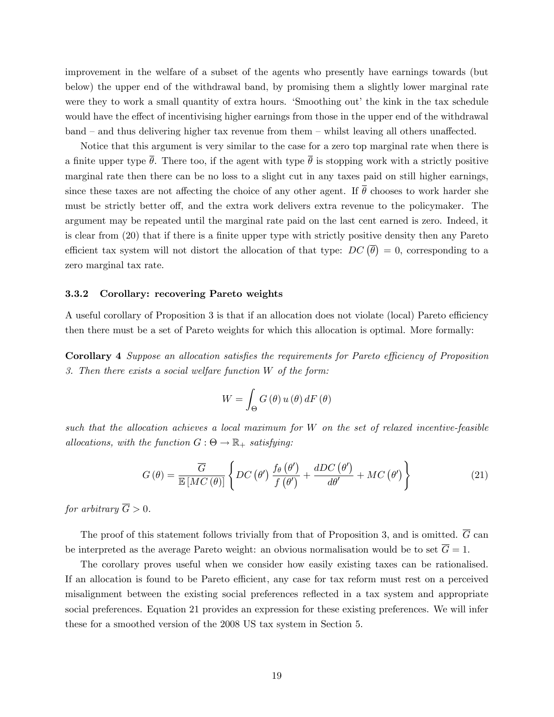improvement in the welfare of a subset of the agents who presently have earnings towards (but below) the upper end of the withdrawal band, by promising them a slightly lower marginal rate were they to work a small quantity of extra hours. 'Smoothing out' the kink in the tax schedule would have the effect of incentivising higher earnings from those in the upper end of the withdrawal  $b$ and  $\overline{\phantom{a}}$  and thus delivering higher tax revenue from them  $\overline{\phantom{a}}$  whilst leaving all others unaffected.

Notice that this argument is very similar to the case for a zero top marginal rate when there is a finite upper type  $\bar{\theta}$ . There too, if the agent with type  $\bar{\theta}$  is stopping work with a strictly positive marginal rate then there can be no loss to a slight cut in any taxes paid on still higher earnings, since these taxes are not affecting the choice of any other agent. If  $\theta$  chooses to work harder she must be strictly better off, and the extra work delivers extra revenue to the policymaker. The argument may be repeated until the marginal rate paid on the last cent earned is zero. Indeed, it is clear from (20) that if there is a finite upper type with strictly positive density then any Pareto efficient tax system will not distort the allocation of that type:  $DC(\bar{\theta}) = 0$ , corresponding to a zero marginal tax rate.

## 3.3.2 Corollary: recovering Pareto weights

A useful corollary of Proposition 3 is that if an allocation does not violate (local) Pareto efficiency then there must be a set of Pareto weights for which this allocation is optimal. More formally:

Corollary 4 Suppose an allocation satisfies the requirements for Pareto efficiency of Proposition 3. Then there exists a social welfare function W of the form:

$$
W = \int_{\Theta} G(\theta) u(\theta) dF(\theta)
$$

such that the allocation achieves a local maximum for W on the set of relaxed incentive-feasible allocations, with the function  $G: \Theta \to \mathbb{R}_+$  satisfying:

$$
G(\theta) = \frac{\overline{G}}{\mathbb{E}\left[MC(\theta)\right]} \left\{DC(\theta')\frac{f_{\theta}(\theta')}{f(\theta')} + \frac{dDC(\theta')}{d\theta'} + MC(\theta')\right\}
$$
(21)

for arbitrary  $\overline{G} > 0$ .

The proof of this statement follows trivially from that of Proposition 3, and is omitted.  $\overline{G}$  can be interpreted as the average Pareto weight: an obvious normalisation would be to set  $\overline{G} = 1$ .

The corollary proves useful when we consider how easily existing taxes can be rationalised. If an allocation is found to be Pareto efficient, any case for tax reform must rest on a perceived misalignment between the existing social preferences reflected in a tax system and appropriate social preferences. Equation 21 provides an expression for these existing preferences. We will infer these for a smoothed version of the 2008 US tax system in Section 5.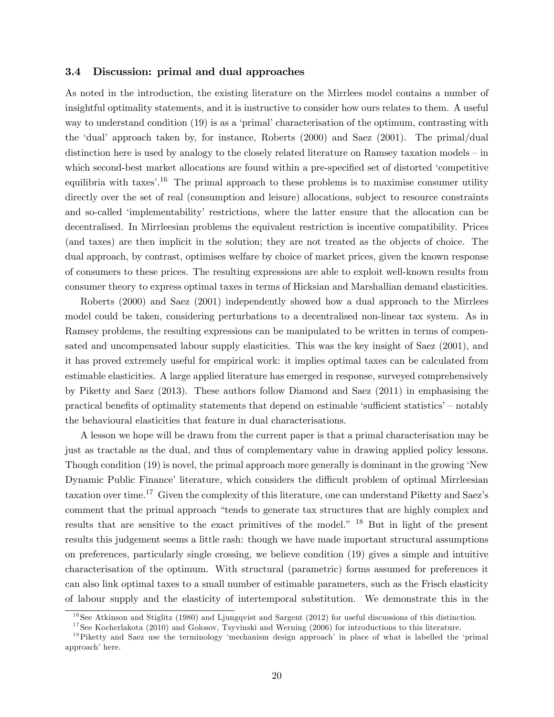## 3.4 Discussion: primal and dual approaches

As noted in the introduction, the existing literature on the Mirrlees model contains a number of insightful optimality statements, and it is instructive to consider how ours relates to them. A useful way to understand condition  $(19)$  is as a 'primal' characterisation of the optimum, contrasting with the ëdualí approach taken by, for instance, Roberts (2000) and Saez (2001). The primal/dual distinction here is used by analogy to the closely related literature on Ramsey taxation models  $-\text{in}$ which second-best market allocations are found within a pre-specified set of distorted 'competitive equilibria with taxes<sup> $16$ </sup>. The primal approach to these problems is to maximise consumer utility directly over the set of real (consumption and leisure) allocations, subject to resource constraints and so-called 'implementability' restrictions, where the latter ensure that the allocation can be decentralised. In Mirrleesian problems the equivalent restriction is incentive compatibility. Prices (and taxes) are then implicit in the solution; they are not treated as the objects of choice. The dual approach, by contrast, optimises welfare by choice of market prices, given the known response of consumers to these prices. The resulting expressions are able to exploit well-known results from consumer theory to express optimal taxes in terms of Hicksian and Marshallian demand elasticities.

Roberts (2000) and Saez (2001) independently showed how a dual approach to the Mirrlees model could be taken, considering perturbations to a decentralised non-linear tax system. As in Ramsey problems, the resulting expressions can be manipulated to be written in terms of compensated and uncompensated labour supply elasticities. This was the key insight of Saez (2001), and it has proved extremely useful for empirical work: it implies optimal taxes can be calculated from estimable elasticities. A large applied literature has emerged in response, surveyed comprehensively by Piketty and Saez (2013). These authors follow Diamond and Saez (2011) in emphasising the practical benefits of optimality statements that depend on estimable 'sufficient statistics' – notably the behavioural elasticities that feature in dual characterisations.

A lesson we hope will be drawn from the current paper is that a primal characterisation may be just as tractable as the dual, and thus of complementary value in drawing applied policy lessons. Though condition (19) is novel, the primal approach more generally is dominant in the growing 'New Dynamic Public Finance' literature, which considers the difficult problem of optimal Mirrleesian taxation over time.<sup>17</sup> Given the complexity of this literature, one can understand Piketty and Saez's comment that the primal approach "tends to generate tax structures that are highly complex and results that are sensitive to the exact primitives of the model.<sup>" 18</sup> But in light of the present results this judgement seems a little rash: though we have made important structural assumptions on preferences, particularly single crossing, we believe condition (19) gives a simple and intuitive characterisation of the optimum. With structural (parametric) forms assumed for preferences it can also link optimal taxes to a small number of estimable parameters, such as the Frisch elasticity of labour supply and the elasticity of intertemporal substitution. We demonstrate this in the

<sup>&</sup>lt;sup>16</sup>See Atkinson and Stiglitz (1980) and Ljungqvist and Sargent (2012) for useful discussions of this distinction.

<sup>&</sup>lt;sup>17</sup>See Kocherlakota (2010) and Golosov, Tsyvinski and Werning (2006) for introductions to this literature.

 $18$ Piketty and Saez use the terminology 'mechanism design approach' in place of what is labelled the 'primal approach' here.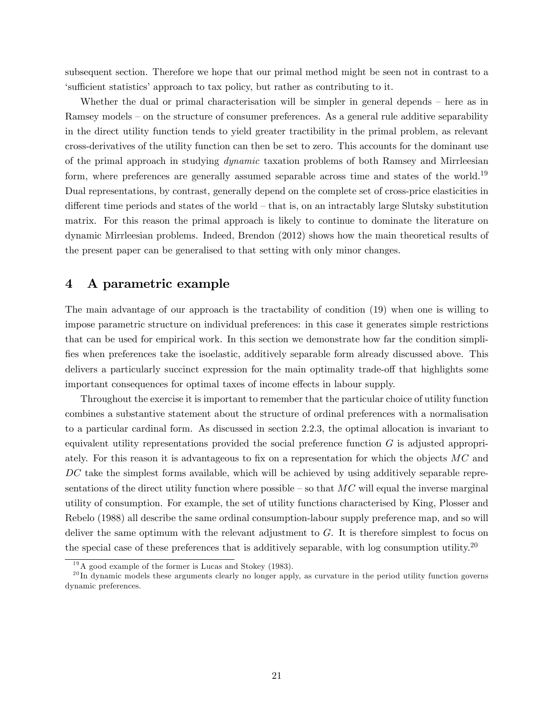subsequent section. Therefore we hope that our primal method might be seen not in contrast to a ësu¢ cient statisticsíapproach to tax policy, but rather as contributing to it.

Whether the dual or primal characterisation will be simpler in general depends  $-$  here as in Ramsey models – on the structure of consumer preferences. As a general rule additive separability in the direct utility function tends to yield greater tractibility in the primal problem, as relevant cross-derivatives of the utility function can then be set to zero. This accounts for the dominant use of the primal approach in studying dynamic taxation problems of both Ramsey and Mirrleesian form, where preferences are generally assumed separable across time and states of the world.<sup>19</sup> Dual representations, by contrast, generally depend on the complete set of cross-price elasticities in different time periods and states of the world  $-$  that is, on an intractably large Slutsky substitution matrix. For this reason the primal approach is likely to continue to dominate the literature on dynamic Mirrleesian problems. Indeed, Brendon (2012) shows how the main theoretical results of the present paper can be generalised to that setting with only minor changes.

## 4 A parametric example

The main advantage of our approach is the tractability of condition (19) when one is willing to impose parametric structure on individual preferences: in this case it generates simple restrictions that can be used for empirical work. In this section we demonstrate how far the condition simpli-Öes when preferences take the isoelastic, additively separable form already discussed above. This delivers a particularly succinct expression for the main optimality trade-off that highlights some important consequences for optimal taxes of income effects in labour supply.

Throughout the exercise it is important to remember that the particular choice of utility function combines a substantive statement about the structure of ordinal preferences with a normalisation to a particular cardinal form. As discussed in section 2.2.3, the optimal allocation is invariant to equivalent utility representations provided the social preference function  $G$  is adjusted appropriately. For this reason it is advantageous to fix on a representation for which the objects  $MC$  and DC take the simplest forms available, which will be achieved by using additively separable representations of the direct utility function where possible  $-$  so that  $MC$  will equal the inverse marginal utility of consumption. For example, the set of utility functions characterised by King, Plosser and Rebelo (1988) all describe the same ordinal consumption-labour supply preference map, and so will deliver the same optimum with the relevant adjustment to  $G$ . It is therefore simplest to focus on the special case of these preferences that is additively separable, with log consumption utility.<sup>20</sup>

<sup>19</sup>A good example of the former is Lucas and Stokey (1983).

 $^{20}$ In dynamic models these arguments clearly no longer apply, as curvature in the period utility function governs dynamic preferences.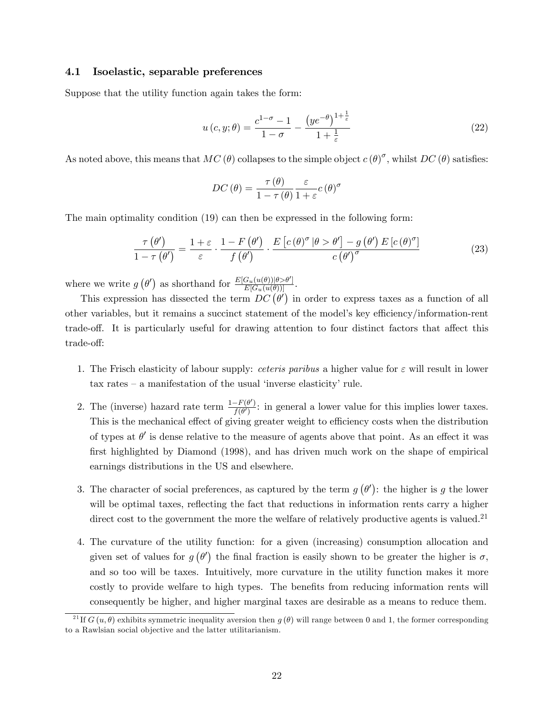## 4.1 Isoelastic, separable preferences

Suppose that the utility function again takes the form:

$$
u\left(c,y;\theta\right) = \frac{c^{1-\sigma}-1}{1-\sigma} - \frac{\left(ye^{-\theta}\right)^{1+\frac{1}{\varepsilon}}}{1+\frac{1}{\varepsilon}}
$$
\n
$$
(22)
$$

As noted above, this means that  $MC(\theta)$  collapses to the simple object  $c(\theta)^\sigma$ , whilst  $DC(\theta)$  satisfies:

$$
DC(\theta) = \frac{\tau(\theta)}{1 - \tau(\theta)} \frac{\varepsilon}{1 + \varepsilon} c(\theta)^{\sigma}
$$

The main optimality condition (19) can then be expressed in the following form:

$$
\frac{\tau(\theta')}{1-\tau(\theta')} = \frac{1+\varepsilon}{\varepsilon} \cdot \frac{1-F(\theta')}{f(\theta')} \cdot \frac{E\left[c(\theta)^\sigma | \theta > \theta'\right] - g(\theta') E\left[c(\theta)^\sigma\right]}{c(\theta')^\sigma} \tag{23}
$$

where we write  $g\left(\theta'\right)$  as shorthand for  $\frac{E[G_u(u(\theta))] \theta > \theta'}{E[G_u(u(\theta))]}.$ 

This expression has dissected the term  $DC(\theta')$  in order to express taxes as a function of all other variables, but it remains a succinct statement of the model's key efficiency/information-rent trade-off. It is particularly useful for drawing attention to four distinct factors that affect this trade-off:

- 1. The Frisch elasticity of labour supply: *ceteris paribus* a higher value for  $\varepsilon$  will result in lower tax rates  $-$  a manifestation of the usual 'inverse elasticity' rule.
- 2. The (inverse) hazard rate term  $\frac{1-F(\theta')}{f(\theta')}$  $\frac{f^{(-r(\sigma))}}{f(\theta')}$ : in general a lower value for this implies lower taxes. This is the mechanical effect of giving greater weight to efficiency costs when the distribution of types at  $\theta'$  is dense relative to the measure of agents above that point. As an effect it was first highlighted by Diamond (1998), and has driven much work on the shape of empirical earnings distributions in the US and elsewhere.
- 3. The character of social preferences, as captured by the term  $g(\theta')$ : the higher is g the lower will be optimal taxes, reflecting the fact that reductions in information rents carry a higher direct cost to the government the more the welfare of relatively productive agents is valued.<sup>21</sup>
- 4. The curvature of the utility function: for a given (increasing) consumption allocation and given set of values for  $g(\theta')$  the final fraction is easily shown to be greater the higher is  $\sigma$ , and so too will be taxes. Intuitively, more curvature in the utility function makes it more costly to provide welfare to high types. The benefits from reducing information rents will consequently be higher, and higher marginal taxes are desirable as a means to reduce them.

<sup>&</sup>lt;sup>21</sup> If  $G(u, \theta)$  exhibits symmetric inequality aversion then  $g(\theta)$  will range between 0 and 1, the former corresponding to a Rawlsian social objective and the latter utilitarianism.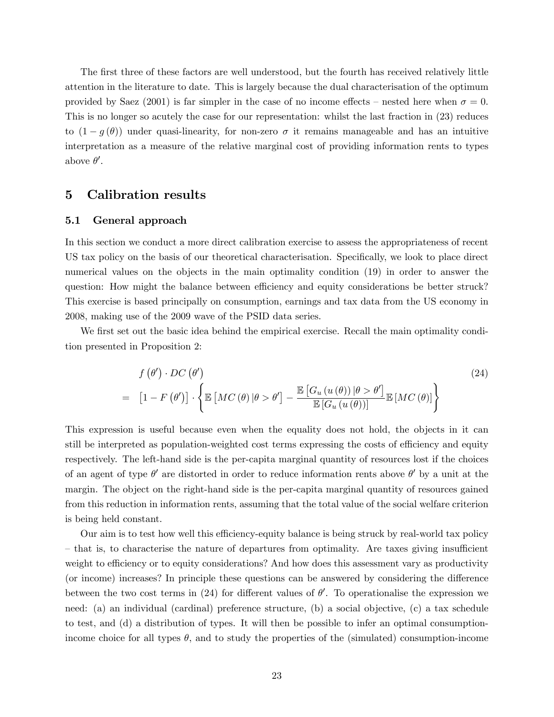The first three of these factors are well understood, but the fourth has received relatively little attention in the literature to date. This is largely because the dual characterisation of the optimum provided by Saez (2001) is far simpler in the case of no income effects – nested here when  $\sigma = 0$ . This is no longer so acutely the case for our representation: whilst the last fraction in (23) reduces to  $(1 - g(\theta))$  under quasi-linearity, for non-zero  $\sigma$  it remains manageable and has an intuitive interpretation as a measure of the relative marginal cost of providing information rents to types above  $\theta'$ .

## 5 Calibration results

### 5.1 General approach

In this section we conduct a more direct calibration exercise to assess the appropriateness of recent US tax policy on the basis of our theoretical characterisation. Specifically, we look to place direct numerical values on the objects in the main optimality condition (19) in order to answer the question: How might the balance between efficiency and equity considerations be better struck? This exercise is based principally on consumption, earnings and tax data from the US economy in 2008, making use of the 2009 wave of the PSID data series.

We first set out the basic idea behind the empirical exercise. Recall the main optimality condition presented in Proposition 2:

$$
f(\theta') \cdot DC(\theta')
$$
\n
$$
= [1 - F(\theta')] \cdot \left\{ \mathbb{E}\left[MC(\theta) | \theta > \theta'\right] - \frac{\mathbb{E}\left[G_u(u(\theta)) | \theta > \theta'\right]}{\mathbb{E}\left[G_u(u(\theta))\right]} \mathbb{E}\left[MC(\theta)\right] \right\}
$$
\n
$$
(24)
$$

This expression is useful because even when the equality does not hold, the objects in it can still be interpreted as population-weighted cost terms expressing the costs of efficiency and equity respectively. The left-hand side is the per-capita marginal quantity of resources lost if the choices of an agent of type  $\theta'$  are distorted in order to reduce information rents above  $\theta'$  by a unit at the margin. The object on the right-hand side is the per-capita marginal quantity of resources gained from this reduction in information rents, assuming that the total value of the social welfare criterion is being held constant.

Our aim is to test how well this efficiency-equity balance is being struck by real-world tax policy – that is, to characterise the nature of departures from optimality. Are taxes giving insufficient weight to efficiency or to equity considerations? And how does this assessment vary as productivity (or income) increases? In principle these questions can be answered by considering the difference between the two cost terms in (24) for different values of  $\theta'$ . To operationalise the expression we need: (a) an individual (cardinal) preference structure, (b) a social objective, (c) a tax schedule to test, and (d) a distribution of types. It will then be possible to infer an optimal consumptionincome choice for all types  $\theta$ , and to study the properties of the (simulated) consumption-income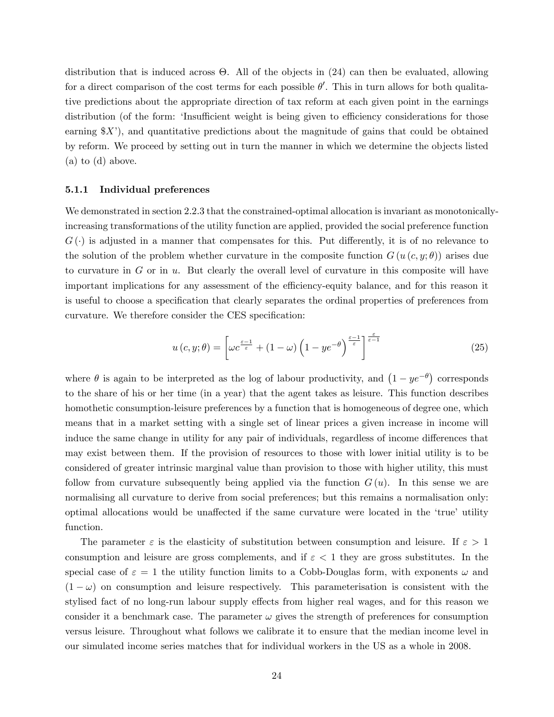distribution that is induced across  $\Theta$ . All of the objects in  $(24)$  can then be evaluated, allowing for a direct comparison of the cost terms for each possible  $\theta'$ . This in turn allows for both qualitative predictions about the appropriate direction of tax reform at each given point in the earnings distribution (of the form: 'Insufficient weight is being given to efficiency considerations for those earning  $X'$ , and quantitative predictions about the magnitude of gains that could be obtained by reform. We proceed by setting out in turn the manner in which we determine the objects listed (a) to (d) above.

#### 5.1.1 Individual preferences

We demonstrated in section 2.2.3 that the constrained-optimal allocation is invariant as monotonicallyincreasing transformations of the utility function are applied, provided the social preference function  $G(\cdot)$  is adjusted in a manner that compensates for this. Put differently, it is of no relevance to the solution of the problem whether curvature in the composite function  $G(u(c, y; \theta))$  arises due to curvature in  $G$  or in  $u$ . But clearly the overall level of curvature in this composite will have important implications for any assessment of the efficiency-equity balance, and for this reason it is useful to choose a specification that clearly separates the ordinal properties of preferences from curvature. We therefore consider the CES specification:

$$
u\left(c,y;\theta\right) = \left[\omega c^{\frac{\varepsilon-1}{\varepsilon}} + \left(1-\omega\right)\left(1-ye^{-\theta}\right)^{\frac{\varepsilon-1}{\varepsilon}}\right]^{\frac{\varepsilon}{\varepsilon-1}}\tag{25}
$$

where  $\theta$  is again to be interpreted as the log of labour productivity, and  $(1 - ye^{-\theta})$  corresponds to the share of his or her time (in a year) that the agent takes as leisure. This function describes homothetic consumption-leisure preferences by a function that is homogeneous of degree one, which means that in a market setting with a single set of linear prices a given increase in income will induce the same change in utility for any pair of individuals, regardless of income differences that may exist between them. If the provision of resources to those with lower initial utility is to be considered of greater intrinsic marginal value than provision to those with higher utility, this must follow from curvature subsequently being applied via the function  $G(u)$ . In this sense we are normalising all curvature to derive from social preferences; but this remains a normalisation only: optimal allocations would be unaffected if the same curvature were located in the 'true' utility function.

The parameter  $\varepsilon$  is the elasticity of substitution between consumption and leisure. If  $\varepsilon > 1$ consumption and leisure are gross complements, and if  $\varepsilon < 1$  they are gross substitutes. In the special case of  $\varepsilon = 1$  the utility function limits to a Cobb-Douglas form, with exponents  $\omega$  and  $(1 - \omega)$  on consumption and leisure respectively. This parameterisation is consistent with the stylised fact of no long-run labour supply effects from higher real wages, and for this reason we consider it a benchmark case. The parameter  $\omega$  gives the strength of preferences for consumption versus leisure. Throughout what follows we calibrate it to ensure that the median income level in our simulated income series matches that for individual workers in the US as a whole in 2008.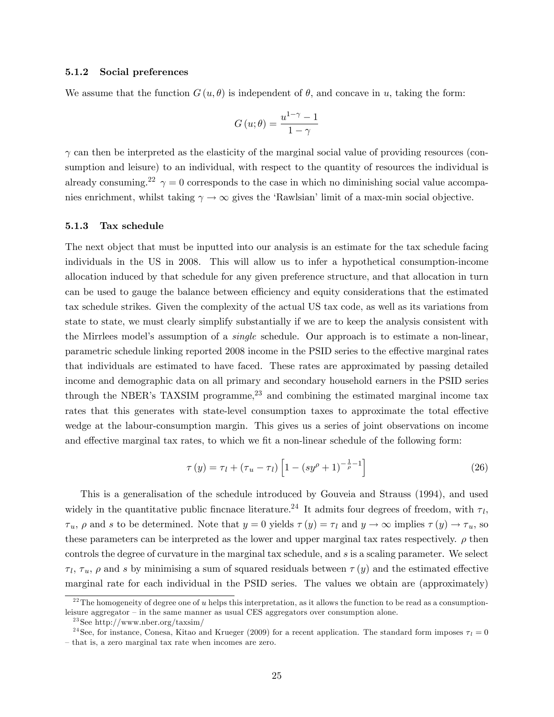#### 5.1.2 Social preferences

We assume that the function  $G(u, \theta)$  is independent of  $\theta$ , and concave in u, taking the form:

$$
G(u; \theta) = \frac{u^{1-\gamma} - 1}{1 - \gamma}
$$

 $\gamma$  can then be interpreted as the elasticity of the marginal social value of providing resources (consumption and leisure) to an individual, with respect to the quantity of resources the individual is already consuming.<sup>22</sup>  $\gamma = 0$  corresponds to the case in which no diminishing social value accompanies enrichment, whilst taking  $\gamma \to \infty$  gives the 'Rawlsian' limit of a max-min social objective.

## 5.1.3 Tax schedule

The next object that must be inputted into our analysis is an estimate for the tax schedule facing individuals in the US in 2008. This will allow us to infer a hypothetical consumption-income allocation induced by that schedule for any given preference structure, and that allocation in turn can be used to gauge the balance between efficiency and equity considerations that the estimated tax schedule strikes. Given the complexity of the actual US tax code, as well as its variations from state to state, we must clearly simplify substantially if we are to keep the analysis consistent with the Mirrlees model's assumption of a *single* schedule. Our approach is to estimate a non-linear, parametric schedule linking reported 2008 income in the PSID series to the effective marginal rates that individuals are estimated to have faced. These rates are approximated by passing detailed income and demographic data on all primary and secondary household earners in the PSID series through the NBER's TAXSIM programme,<sup>23</sup> and combining the estimated marginal income tax rates that this generates with state-level consumption taxes to approximate the total effective wedge at the labour-consumption margin. This gives us a series of joint observations on income and effective marginal tax rates, to which we fit a non-linear schedule of the following form:

$$
\tau(y) = \tau_l + (\tau_u - \tau_l) \left[ 1 - (sy^{\rho} + 1)^{-\frac{1}{\rho} - 1} \right]
$$
 (26)

This is a generalisation of the schedule introduced by Gouveia and Strauss (1994), and used widely in the quantitative public fincnace literature.<sup>24</sup> It admits four degrees of freedom, with  $\tau_l$ ,  $\tau_u$ ,  $\rho$  and s to be determined. Note that  $y = 0$  yields  $\tau(y) = \tau_l$  and  $y \to \infty$  implies  $\tau(y) \to \tau_u$ , so these parameters can be interpreted as the lower and upper marginal tax rates respectively.  $\rho$  then controls the degree of curvature in the marginal tax schedule, and s is a scaling parameter. We select  $\tau_l$ ,  $\tau_u$ ,  $\rho$  and s by minimising a sum of squared residuals between  $\tau(y)$  and the estimated effective marginal rate for each individual in the PSID series. The values we obtain are (approximately)

<sup>&</sup>lt;sup>22</sup>The homogeneity of degree one of u helps this interpretation, as it allows the function to be read as a consumptionleisure aggregator  $-$  in the same manner as usual CES aggregators over consumption alone.

<sup>&</sup>lt;sup>23</sup>See http://www.nber.org/taxsim/

<sup>&</sup>lt;sup>24</sup>See, for instance, Conesa, Kitao and Krueger (2009) for a recent application. The standard form imposes  $\tau_l = 0$ - that is, a zero marginal tax rate when incomes are zero.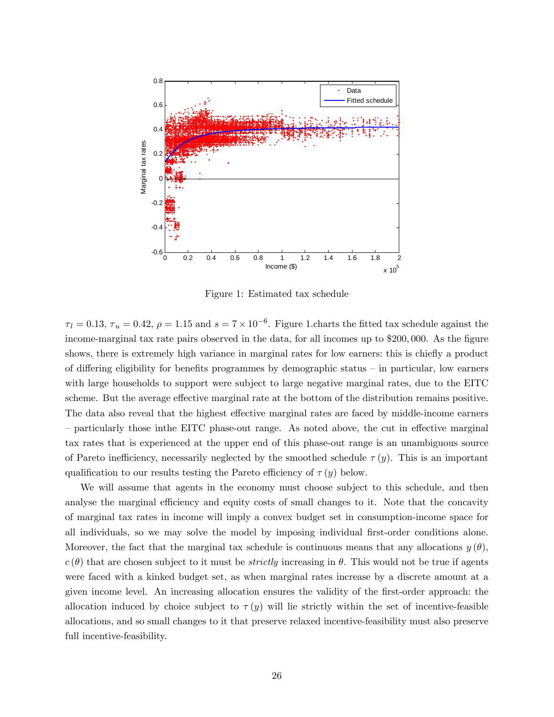

Figure 1: Estimated tax schedule

 $\tau_l = 0.13$ ,  $\tau_u = 0.42$ ,  $\rho = 1.15$  and  $s = 7 \times 10^{-6}$ . Figure 1. charts the fitted tax schedule against the income-marginal tax rate pairs observed in the data, for all incomes up to \$200,000. As the figure shows, there is extremely high variance in marginal rates for low earners: this is chiefly a product of differing eligibility for benefits programmes by demographic status  $-$  in particular, low earners with large households to support were subject to large negative marginal rates, due to the EITC scheme. But the average effective marginal rate at the bottom of the distribution remains positive. The data also reveal that the highest effective marginal rates are faced by middle-income earners – particularly those inthe EITC phase-out range. As noted above, the cut in effective marginal tax rates that is experienced at the upper end of this phase-out range is an unambiguous source of Pareto inefficiency, necessarily neglected by the smoothed schedule  $\tau(y)$ . This is an important qualification to our results testing the Pareto efficiency of  $\tau(y)$  below.

We will assume that agents in the economy must choose subject to this schedule, and then analyse the marginal efficiency and equity costs of small changes to it. Note that the concavity of marginal tax rates in income will imply a convex budget set in consumption-income space for all individuals, so we may solve the model by imposing individual first-order conditions alone. Moreover, the fact that the marginal tax schedule is continuous means that any allocations  $y(\theta)$ ,  $c(\theta)$  that are chosen subject to it must be *strictly* increasing in  $\theta$ . This would not be true if agents were faced with a kinked budget set, as when marginal rates increase by a discrete amount at a given income level. An increasing allocation ensures the validity of the Örst-order approach: the allocation induced by choice subject to  $\tau(y)$  will lie strictly within the set of incentive-feasible allocations, and so small changes to it that preserve relaxed incentive-feasibility must also preserve full incentive-feasibility.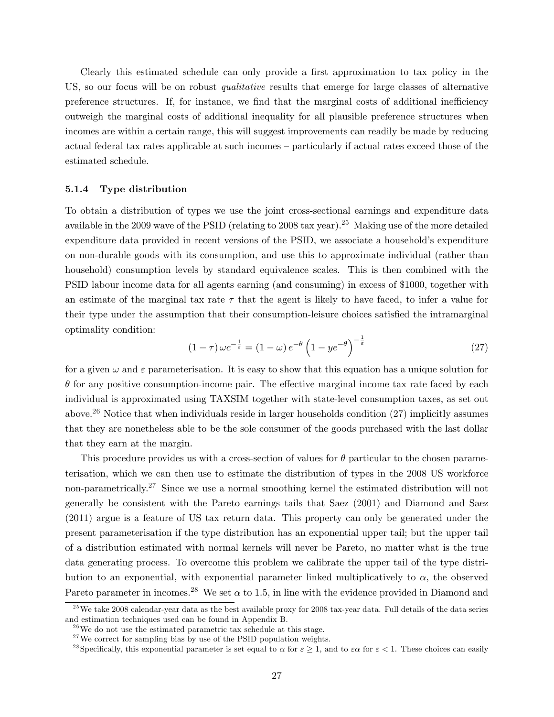Clearly this estimated schedule can only provide a first approximation to tax policy in the US, so our focus will be on robust *qualitative* results that emerge for large classes of alternative preference structures. If, for instance, we find that the marginal costs of additional inefficiency outweigh the marginal costs of additional inequality for all plausible preference structures when incomes are within a certain range, this will suggest improvements can readily be made by reducing actual federal tax rates applicable at such incomes – particularly if actual rates exceed those of the estimated schedule.

## 5.1.4 Type distribution

To obtain a distribution of types we use the joint cross-sectional earnings and expenditure data available in the 2009 wave of the PSID (relating to 2008 tax year).<sup>25</sup> Making use of the more detailed expenditure data provided in recent versions of the PSID, we associate a household's expenditure on non-durable goods with its consumption, and use this to approximate individual (rather than household) consumption levels by standard equivalence scales. This is then combined with the PSID labour income data for all agents earning (and consuming) in excess of \$1000, together with an estimate of the marginal tax rate  $\tau$  that the agent is likely to have faced, to infer a value for their type under the assumption that their consumption-leisure choices satisfied the intramarginal optimality condition:

$$
(1 - \tau)\,\omega c^{-\frac{1}{\varepsilon}} = (1 - \omega)\,e^{-\theta}\left(1 - ye^{-\theta}\right)^{-\frac{1}{\varepsilon}}
$$
\n
$$
(27)
$$

for a given  $\omega$  and  $\varepsilon$  parameterisation. It is easy to show that this equation has a unique solution for  $\theta$  for any positive consumption-income pair. The effective marginal income tax rate faced by each individual is approximated using TAXSIM together with state-level consumption taxes, as set out above.<sup>26</sup> Notice that when individuals reside in larger households condition  $(27)$  implicitly assumes that they are nonetheless able to be the sole consumer of the goods purchased with the last dollar that they earn at the margin.

This procedure provides us with a cross-section of values for  $\theta$  particular to the chosen parameterisation, which we can then use to estimate the distribution of types in the 2008 US workforce non-parametrically.<sup>27</sup> Since we use a normal smoothing kernel the estimated distribution will not generally be consistent with the Pareto earnings tails that Saez (2001) and Diamond and Saez (2011) argue is a feature of US tax return data. This property can only be generated under the present parameterisation if the type distribution has an exponential upper tail; but the upper tail of a distribution estimated with normal kernels will never be Pareto, no matter what is the true data generating process. To overcome this problem we calibrate the upper tail of the type distribution to an exponential, with exponential parameter linked multiplicatively to  $\alpha$ , the observed Pareto parameter in incomes.<sup>28</sup> We set  $\alpha$  to 1.5, in line with the evidence provided in Diamond and

 $^{25}$ We take 2008 calendar-year data as the best available proxy for 2008 tax-year data. Full details of the data series and estimation techniques used can be found in Appendix B.

 $^{26}$ We do not use the estimated parametric tax schedule at this stage.

 $27$ We correct for sampling bias by use of the PSID population weights.

<sup>&</sup>lt;sup>28</sup>Specifically, this exponential parameter is set equal to  $\alpha$  for  $\varepsilon \geq 1$ , and to  $\varepsilon \alpha$  for  $\varepsilon < 1$ . These choices can easily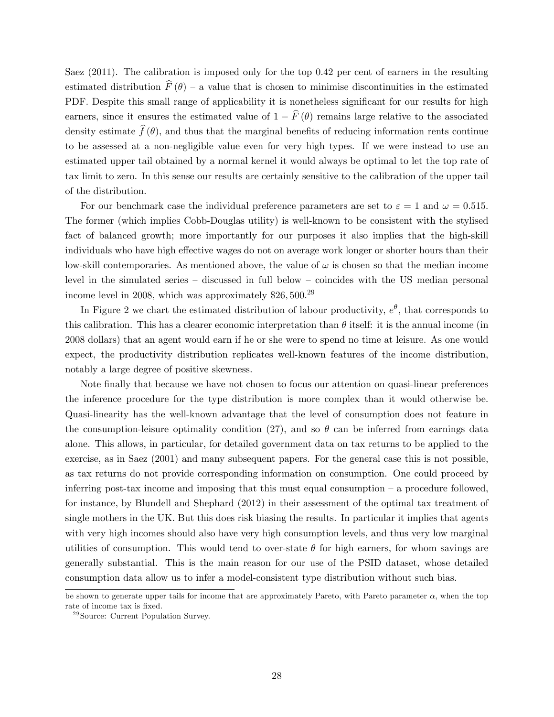Saez  $(2011)$ . The calibration is imposed only for the top  $0.42$  per cent of earners in the resulting estimated distribution  $\widehat{F}(\theta)$  – a value that is chosen to minimise discontinuities in the estimated PDF. Despite this small range of applicability it is nonetheless significant for our results for high earners, since it ensures the estimated value of  $1 - \widehat{F}(\theta)$  remains large relative to the associated density estimate  $\hat{f}(\theta)$ , and thus that the marginal benefits of reducing information rents continue to be assessed at a non-negligible value even for very high types. If we were instead to use an estimated upper tail obtained by a normal kernel it would always be optimal to let the top rate of tax limit to zero. In this sense our results are certainly sensitive to the calibration of the upper tail of the distribution.

For our benchmark case the individual preference parameters are set to  $\varepsilon = 1$  and  $\omega = 0.515$ . The former (which implies Cobb-Douglas utility) is well-known to be consistent with the stylised fact of balanced growth; more importantly for our purposes it also implies that the high-skill individuals who have high effective wages do not on average work longer or shorter hours than their low-skill contemporaries. As mentioned above, the value of  $\omega$  is chosen so that the median income level in the simulated series  $-$  discussed in full below  $-$  coincides with the US median personal income level in 2008, which was approximately \$26,500.<sup>29</sup>

In Figure 2 we chart the estimated distribution of labour productivity,  $e^{\theta}$ , that corresponds to this calibration. This has a clearer economic interpretation than  $\theta$  itself: it is the annual income (in 2008 dollars) that an agent would earn if he or she were to spend no time at leisure. As one would expect, the productivity distribution replicates well-known features of the income distribution, notably a large degree of positive skewness.

Note finally that because we have not chosen to focus our attention on quasi-linear preferences the inference procedure for the type distribution is more complex than it would otherwise be. Quasi-linearity has the well-known advantage that the level of consumption does not feature in the consumption-leisure optimality condition (27), and so  $\theta$  can be inferred from earnings data alone. This allows, in particular, for detailed government data on tax returns to be applied to the exercise, as in Saez (2001) and many subsequent papers. For the general case this is not possible, as tax returns do not provide corresponding information on consumption. One could proceed by inferring post-tax income and imposing that this must equal consumption  $\overline{\phantom{a}}$  a procedure followed, for instance, by Blundell and Shephard (2012) in their assessment of the optimal tax treatment of single mothers in the UK. But this does risk biasing the results. In particular it implies that agents with very high incomes should also have very high consumption levels, and thus very low marginal utilities of consumption. This would tend to over-state  $\theta$  for high earners, for whom savings are generally substantial. This is the main reason for our use of the PSID dataset, whose detailed consumption data allow us to infer a model-consistent type distribution without such bias.

be shown to generate upper tails for income that are approximately Pareto, with Pareto parameter  $\alpha$ , when the top rate of income tax is fixed.

<sup>29</sup>Source: Current Population Survey.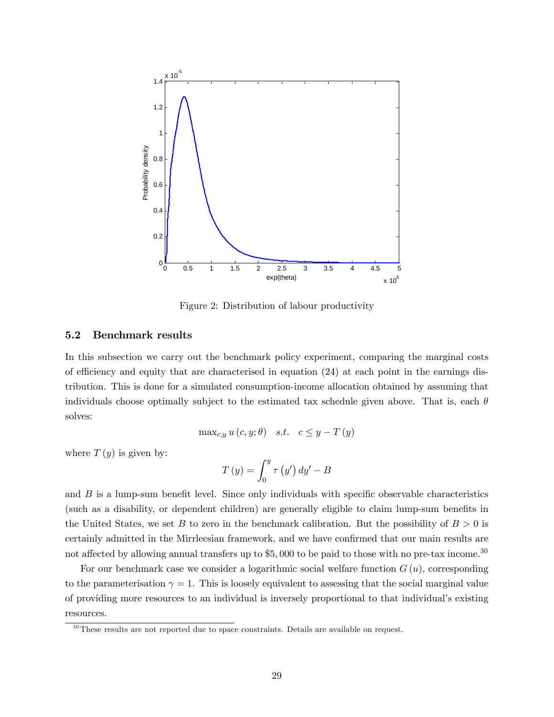

Figure 2: Distribution of labour productivity

## 5.2 Benchmark results

In this subsection we carry out the benchmark policy experiment, comparing the marginal costs of efficiency and equity that are characterised in equation  $(24)$  at each point in the earnings distribution. This is done for a simulated consumption-income allocation obtained by assuming that individuals choose optimally subject to the estimated tax schedule given above. That is, each  $\theta$ solves:

$$
\max_{c,y} u(c,y;\theta) \quad s.t. \quad c \le y - T(y)
$$

where  $T(y)$  is given by:

$$
T(y) = \int_0^y \tau(y') dy' - B
$$

and  $B$  is a lump-sum benefit level. Since only individuals with specific observable characteristics (such as a disability, or dependent children) are generally eligible to claim lump-sum benefits in the United States, we set B to zero in the benchmark calibration. But the possibility of  $B > 0$  is certainly admitted in the Mirrleesian framework, and we have confirmed that our main results are not affected by allowing annual transfers up to  $$5,000$  to be paid to those with no pre-tax income.<sup>30</sup>

For our benchmark case we consider a logarithmic social welfare function  $G(u)$ , corresponding to the parameterisation  $\gamma = 1$ . This is loosely equivalent to assessing that the social marginal value of providing more resources to an individual is inversely proportional to that individualís existing resources.

 $30$ These results are not reported due to space constraints. Details are available on request.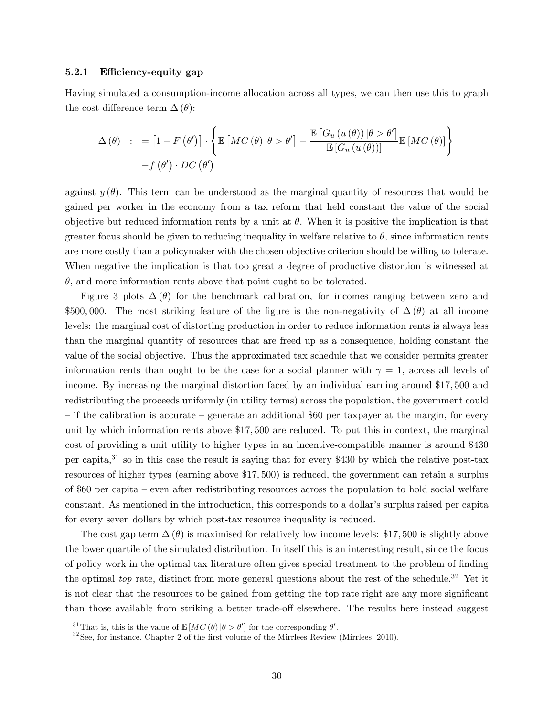### 5.2.1 Efficiency-equity gap

Having simulated a consumption-income allocation across all types, we can then use this to graph the cost difference term  $\Delta(\theta)$ :

$$
\Delta(\theta) : = [1 - F(\theta')] \cdot \left\{ \mathbb{E} \left[ MC(\theta) | \theta > \theta' \right] - \frac{\mathbb{E} \left[ G_u(u(\theta)) | \theta > \theta' \right]}{\mathbb{E} \left[ G_u(u(\theta)) \right]} \mathbb{E} \left[ MC(\theta) \right] \right\} - f(\theta') \cdot DC(\theta')
$$

against  $y(\theta)$ . This term can be understood as the marginal quantity of resources that would be gained per worker in the economy from a tax reform that held constant the value of the social objective but reduced information rents by a unit at  $\theta$ . When it is positive the implication is that greater focus should be given to reducing inequality in welfare relative to  $\theta$ , since information rents are more costly than a policymaker with the chosen objective criterion should be willing to tolerate. When negative the implication is that too great a degree of productive distortion is witnessed at  $\theta$ , and more information rents above that point ought to be tolerated.

Figure 3 plots  $\Delta(\theta)$  for the benchmark calibration, for incomes ranging between zero and \$500,000. The most striking feature of the figure is the non-negativity of  $\Delta(\theta)$  at all income levels: the marginal cost of distorting production in order to reduce information rents is always less than the marginal quantity of resources that are freed up as a consequence, holding constant the value of the social objective. Thus the approximated tax schedule that we consider permits greater information rents than ought to be the case for a social planner with  $\gamma = 1$ , across all levels of income. By increasing the marginal distortion faced by an individual earning around \$17; 500 and redistributing the proceeds uniformly (in utility terms) across the population, the government could  $\overline{\phantom{a}}$  if the calibration is accurate  $\overline{\phantom{a}}$  generate an additional \$60 per taxpayer at the margin, for every unit by which information rents above \$17; 500 are reduced. To put this in context, the marginal cost of providing a unit utility to higher types in an incentive-compatible manner is around \$430 per capita,<sup>31</sup> so in this case the result is saying that for every \$430 by which the relative post-tax resources of higher types (earning above \$17; 500) is reduced, the government can retain a surplus of \$60 per capita – even after redistributing resources across the population to hold social welfare constant. As mentioned in the introduction, this corresponds to a dollar's surplus raised per capita for every seven dollars by which post-tax resource inequality is reduced.

The cost gap term  $\Delta(\theta)$  is maximised for relatively low income levels: \$17,500 is slightly above the lower quartile of the simulated distribution. In itself this is an interesting result, since the focus of policy work in the optimal tax literature often gives special treatment to the problem of Önding the optimal top rate, distinct from more general questions about the rest of the schedule.<sup>32</sup> Yet it is not clear that the resources to be gained from getting the top rate right are any more significant than those available from striking a better trade-off elsewhere. The results here instead suggest

<sup>&</sup>lt;sup>31</sup>That is, this is the value of  $\mathbb{E}[MC(\theta)|\theta > \theta']$  for the corresponding  $\theta'$ .

 $32$ See, for instance, Chapter 2 of the first volume of the Mirrlees Review (Mirrlees, 2010).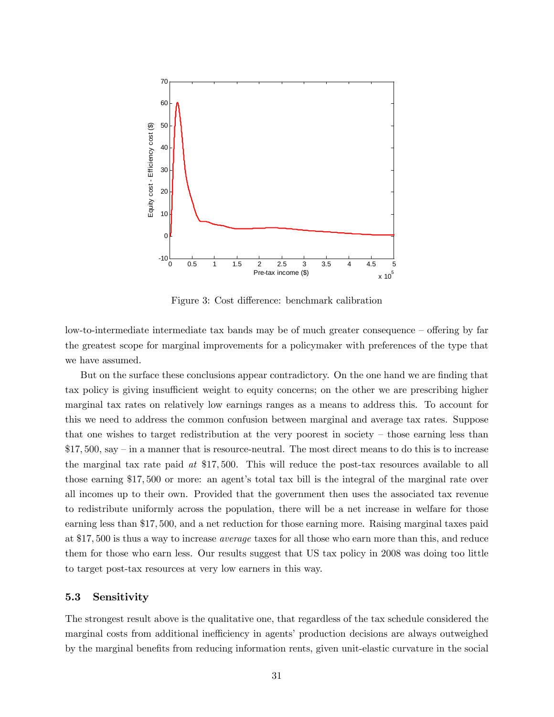

Figure 3: Cost difference: benchmark calibration

low-to-intermediate intermediate tax bands may be of much greater consequence – offering by far the greatest scope for marginal improvements for a policymaker with preferences of the type that we have assumed.

But on the surface these conclusions appear contradictory. On the one hand we are finding that tax policy is giving insufficient weight to equity concerns; on the other we are prescribing higher marginal tax rates on relatively low earnings ranges as a means to address this. To account for this we need to address the common confusion between marginal and average tax rates. Suppose that one wishes to target redistribution at the very poorest in society  $-$  those earning less than  $$17,500,$  say – in a manner that is resource-neutral. The most direct means to do this is to increase the marginal tax rate paid at \$17; 500. This will reduce the post-tax resources available to all those earning \$17,500 or more: an agent's total tax bill is the integral of the marginal rate over all incomes up to their own. Provided that the government then uses the associated tax revenue to redistribute uniformly across the population, there will be a net increase in welfare for those earning less than \$17; 500, and a net reduction for those earning more. Raising marginal taxes paid at \$17; 500 is thus a way to increase average taxes for all those who earn more than this, and reduce them for those who earn less. Our results suggest that US tax policy in 2008 was doing too little to target post-tax resources at very low earners in this way.

## 5.3 Sensitivity

The strongest result above is the qualitative one, that regardless of the tax schedule considered the marginal costs from additional inefficiency in agents' production decisions are always outweighed by the marginal benefits from reducing information rents, given unit-elastic curvature in the social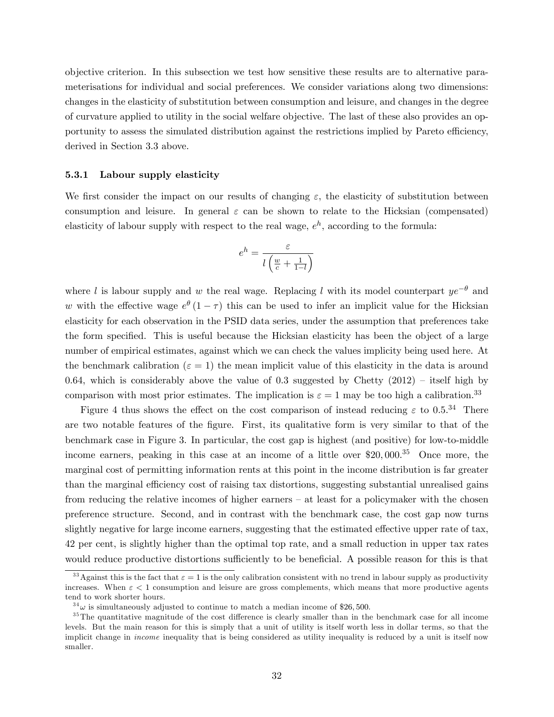objective criterion. In this subsection we test how sensitive these results are to alternative parameterisations for individual and social preferences. We consider variations along two dimensions: changes in the elasticity of substitution between consumption and leisure, and changes in the degree of curvature applied to utility in the social welfare objective. The last of these also provides an opportunity to assess the simulated distribution against the restrictions implied by Pareto efficiency, derived in Section 3.3 above.

### 5.3.1 Labour supply elasticity

We first consider the impact on our results of changing  $\varepsilon$ , the elasticity of substitution between consumption and leisure. In general  $\varepsilon$  can be shown to relate to the Hicksian (compensated) elasticity of labour supply with respect to the real wage,  $e^h$ , according to the formula:

$$
e^h = \frac{\varepsilon}{l\left(\frac{w}{c} + \frac{1}{1-l}\right)}
$$

where l is labour supply and w the real wage. Replacing l with its model counterpart  $ye^{-\theta}$  and w with the effective wage  $e^{\theta}(1-\tau)$  this can be used to infer an implicit value for the Hicksian elasticity for each observation in the PSID data series, under the assumption that preferences take the form specified. This is useful because the Hicksian elasticity has been the object of a large number of empirical estimates, against which we can check the values implicity being used here. At the benchmark calibration ( $\varepsilon = 1$ ) the mean implicit value of this elasticity in the data is around 0.64, which is considerably above the value of 0.3 suggested by Chetty  $(2012)$  – itself high by comparison with most prior estimates. The implication is  $\varepsilon = 1$  may be too high a calibration.<sup>33</sup>

Figure 4 thus shows the effect on the cost comparison of instead reducing  $\varepsilon$  to 0.5.<sup>34</sup> There are two notable features of the figure. First, its qualitative form is very similar to that of the benchmark case in Figure 3. In particular, the cost gap is highest (and positive) for low-to-middle income earners, peaking in this case at an income of a little over \$20; 000. <sup>35</sup> Once more, the marginal cost of permitting information rents at this point in the income distribution is far greater than the marginal efficiency cost of raising tax distortions, suggesting substantial unrealised gains from reducing the relative incomes of higher earners  $-\alpha$  at least for a policymaker with the chosen preference structure. Second, and in contrast with the benchmark case, the cost gap now turns slightly negative for large income earners, suggesting that the estimated effective upper rate of tax, 42 per cent, is slightly higher than the optimal top rate, and a small reduction in upper tax rates would reduce productive distortions sufficiently to be beneficial. A possible reason for this is that

<sup>&</sup>lt;sup>33</sup> Against this is the fact that  $\varepsilon = 1$  is the only calibration consistent with no trend in labour supply as productivity increases. When  $\varepsilon < 1$  consumption and leisure are gross complements, which means that more productive agents tend to work shorter hours.

 $34\omega$  is simultaneously adjusted to continue to match a median income of \$26,500.

 $35$ The quantitative magnitude of the cost difference is clearly smaller than in the benchmark case for all income levels. But the main reason for this is simply that a unit of utility is itself worth less in dollar terms, so that the implicit change in *income* inequality that is being considered as utility inequality is reduced by a unit is itself now smaller.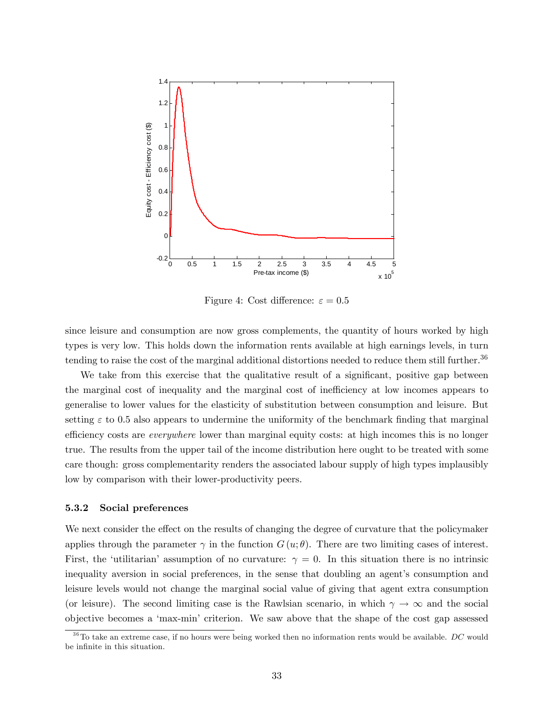

Figure 4: Cost difference:  $\varepsilon = 0.5$ 

since leisure and consumption are now gross complements, the quantity of hours worked by high types is very low. This holds down the information rents available at high earnings levels, in turn tending to raise the cost of the marginal additional distortions needed to reduce them still further.<sup>36</sup>

We take from this exercise that the qualitative result of a significant, positive gap between the marginal cost of inequality and the marginal cost of inefficiency at low incomes appears to generalise to lower values for the elasticity of substitution between consumption and leisure. But setting  $\varepsilon$  to 0.5 also appears to undermine the uniformity of the benchmark finding that marginal efficiency costs are *everywhere* lower than marginal equity costs: at high incomes this is no longer true. The results from the upper tail of the income distribution here ought to be treated with some care though: gross complementarity renders the associated labour supply of high types implausibly low by comparison with their lower-productivity peers.

## 5.3.2 Social preferences

We next consider the effect on the results of changing the degree of curvature that the policymaker applies through the parameter  $\gamma$  in the function  $G(u; \theta)$ . There are two limiting cases of interest. First, the 'utilitarian' assumption of no curvature:  $\gamma = 0$ . In this situation there is no intrinsic inequality aversion in social preferences, in the sense that doubling an agent's consumption and leisure levels would not change the marginal social value of giving that agent extra consumption (or leisure). The second limiting case is the Rawlsian scenario, in which  $\gamma \to \infty$  and the social objective becomes a ëmax-miní criterion. We saw above that the shape of the cost gap assessed

 $36$ To take an extreme case, if no hours were being worked then no information rents would be available. DC would be infinite in this situation.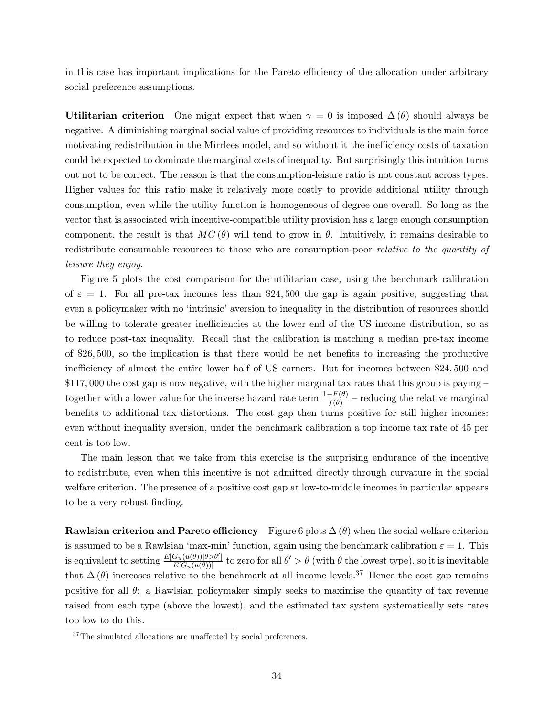in this case has important implications for the Pareto efficiency of the allocation under arbitrary social preference assumptions.

Utilitarian criterion One might expect that when  $\gamma = 0$  is imposed  $\Delta(\theta)$  should always be negative. A diminishing marginal social value of providing resources to individuals is the main force motivating redistribution in the Mirrlees model, and so without it the inefficiency costs of taxation could be expected to dominate the marginal costs of inequality. But surprisingly this intuition turns out not to be correct. The reason is that the consumption-leisure ratio is not constant across types. Higher values for this ratio make it relatively more costly to provide additional utility through consumption, even while the utility function is homogeneous of degree one overall. So long as the vector that is associated with incentive-compatible utility provision has a large enough consumption component, the result is that  $MC(\theta)$  will tend to grow in  $\theta$ . Intuitively, it remains desirable to redistribute consumable resources to those who are consumption-poor *relative to the quantity of* leisure they enjoy.

Figure 5 plots the cost comparison for the utilitarian case, using the benchmark calibration of  $\varepsilon = 1$ . For all pre-tax incomes less than \$24,500 the gap is again positive, suggesting that even a policymaker with no 'intrinsic' aversion to inequality in the distribution of resources should be willing to tolerate greater inefficiencies at the lower end of the US income distribution, so as to reduce post-tax inequality. Recall that the calibration is matching a median pre-tax income of  $$26,500$ , so the implication is that there would be net benefits to increasing the productive inefficiency of almost the entire lower half of US earners. But for incomes between \$24,500 and  $$117,000$  the cost gap is now negative, with the higher marginal tax rates that this group is paying – together with a lower value for the inverse hazard rate term  $\frac{1-F(\theta)}{f(\theta)}$  – reducing the relative marginal benefits to additional tax distortions. The cost gap then turns positive for still higher incomes: even without inequality aversion, under the benchmark calibration a top income tax rate of 45 per cent is too low.

The main lesson that we take from this exercise is the surprising endurance of the incentive to redistribute, even when this incentive is not admitted directly through curvature in the social welfare criterion. The presence of a positive cost gap at low-to-middle incomes in particular appears to be a very robust finding.

**Rawlsian criterion and Pareto efficiency** Figure 6 plots  $\Delta(\theta)$  when the social welfare criterion is assumed to be a Rawlsian 'max-min' function, again using the benchmark calibration  $\varepsilon = 1$ . This is equivalent to setting  $\frac{E[G_u(u(\theta))] \otimes \partial']}{E[G_u(u(\theta))] }$  to zero for all  $\theta' > \underline{\theta}$  (with  $\underline{\theta}$  the lowest type), so it is inevitable that  $\Delta(\theta)$  increases relative to the benchmark at all income levels.<sup>37</sup> Hence the cost gap remains positive for all  $\theta$ : a Rawlsian policymaker simply seeks to maximise the quantity of tax revenue raised from each type (above the lowest), and the estimated tax system systematically sets rates too low to do this.

 $37$ The simulated allocations are unaffected by social preferences.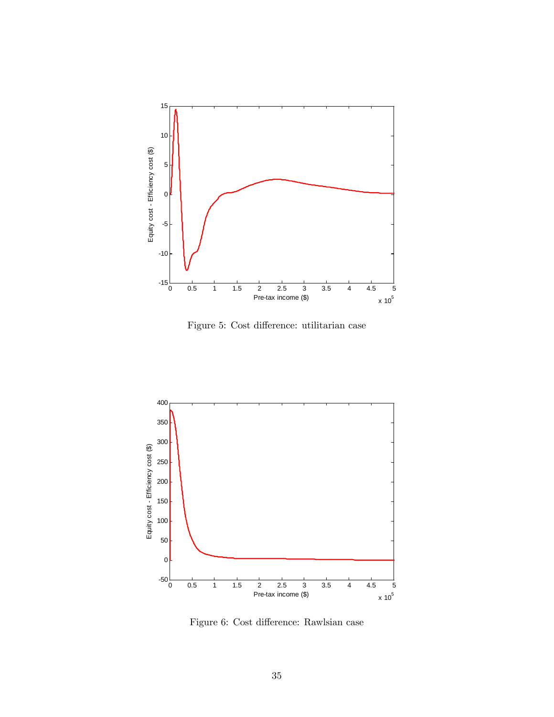

Figure 5: Cost difference: utilitarian case



Figure 6: Cost difference: Rawlsian case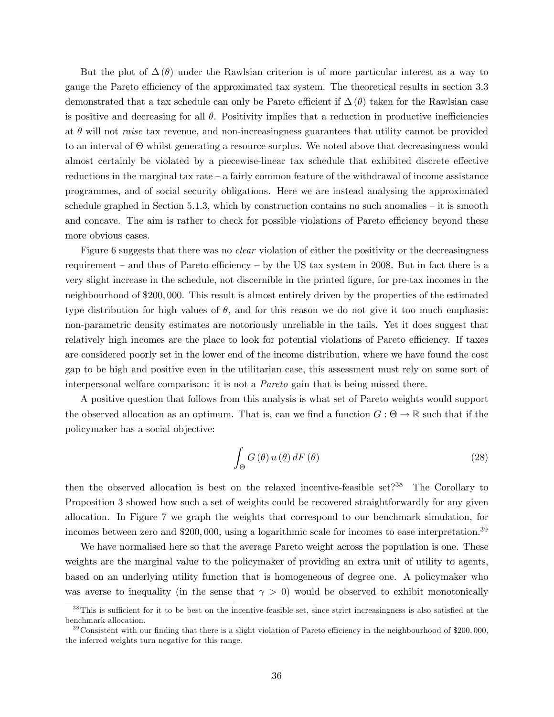But the plot of  $\Delta(\theta)$  under the Rawlsian criterion is of more particular interest as a way to gauge the Pareto efficiency of the approximated tax system. The theoretical results in section 3.3 demonstrated that a tax schedule can only be Pareto efficient if  $\Delta(\theta)$  taken for the Rawlsian case is positive and decreasing for all  $\theta$ . Positivity implies that a reduction in productive inefficiencies at  $\theta$  will not *raise* tax revenue, and non-increasingness guarantees that utility cannot be provided to an interval of  $\Theta$  whilst generating a resource surplus. We noted above that decreasingness would almost certainly be violated by a piecewise-linear tax schedule that exhibited discrete effective reductions in the marginal tax rate  $-$  a fairly common feature of the withdrawal of income assistance programmes, and of social security obligations. Here we are instead analysing the approximated schedule graphed in Section 5.1.3, which by construction contains no such anomalies  $-$  it is smooth and concave. The aim is rather to check for possible violations of Pareto efficiency beyond these more obvious cases.

Figure 6 suggests that there was no *clear* violation of either the positivity or the decreasingness requirement – and thus of Pareto efficiency – by the US tax system in 2008. But in fact there is a very slight increase in the schedule, not discernible in the printed Ögure, for pre-tax incomes in the neighbourhood of \$200; 000. This result is almost entirely driven by the properties of the estimated type distribution for high values of  $\theta$ , and for this reason we do not give it too much emphasis: non-parametric density estimates are notoriously unreliable in the tails. Yet it does suggest that relatively high incomes are the place to look for potential violations of Pareto efficiency. If taxes are considered poorly set in the lower end of the income distribution, where we have found the cost gap to be high and positive even in the utilitarian case, this assessment must rely on some sort of interpersonal welfare comparison: it is not a Pareto gain that is being missed there.

A positive question that follows from this analysis is what set of Pareto weights would support the observed allocation as an optimum. That is, can we find a function  $G: \Theta \to \mathbb{R}$  such that if the policymaker has a social objective:

$$
\int_{\Theta} G(\theta) u(\theta) dF(\theta)
$$
\n(28)

then the observed allocation is best on the relaxed incentive-feasible set?<sup>38</sup> The Corollary to Proposition 3 showed how such a set of weights could be recovered straightforwardly for any given allocation. In Figure 7 we graph the weights that correspond to our benchmark simulation, for incomes between zero and \$200,000, using a logarithmic scale for incomes to ease interpretation.<sup>39</sup>

We have normalised here so that the average Pareto weight across the population is one. These weights are the marginal value to the policymaker of providing an extra unit of utility to agents, based on an underlying utility function that is homogeneous of degree one. A policymaker who was averse to inequality (in the sense that  $\gamma > 0$ ) would be observed to exhibit monotonically

 $38$ This is sufficient for it to be best on the incentive-feasible set, since strict increasingness is also satisfied at the benchmark allocation.

 $39\text{Consistent with our finding that there is a slight violation of Pareto efficiency in the neighbourhood of $200,000.}$ the inferred weights turn negative for this range.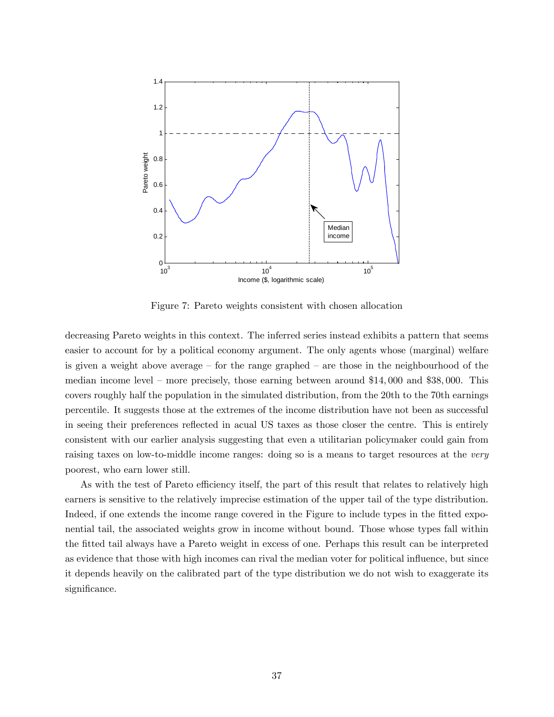

Figure 7: Pareto weights consistent with chosen allocation

decreasing Pareto weights in this context. The inferred series instead exhibits a pattern that seems easier to account for by a political economy argument. The only agents whose (marginal) welfare is given a weight above average – for the range graphed – are those in the neighbourhood of the median income level – more precisely, those earning between around  $$14,000$  and  $$38,000$ . This covers roughly half the population in the simulated distribution, from the 20th to the 70th earnings percentile. It suggests those at the extremes of the income distribution have not been as successful in seeing their preferences reflected in acual US taxes as those closer the centre. This is entirely consistent with our earlier analysis suggesting that even a utilitarian policymaker could gain from raising taxes on low-to-middle income ranges: doing so is a means to target resources at the very poorest, who earn lower still.

As with the test of Pareto efficiency itself, the part of this result that relates to relatively high earners is sensitive to the relatively imprecise estimation of the upper tail of the type distribution. Indeed, if one extends the income range covered in the Figure to include types in the fitted exponential tail, the associated weights grow in income without bound. Those whose types fall within the Ötted tail always have a Pareto weight in excess of one. Perhaps this result can be interpreted as evidence that those with high incomes can rival the median voter for political influence, but since it depends heavily on the calibrated part of the type distribution we do not wish to exaggerate its significance.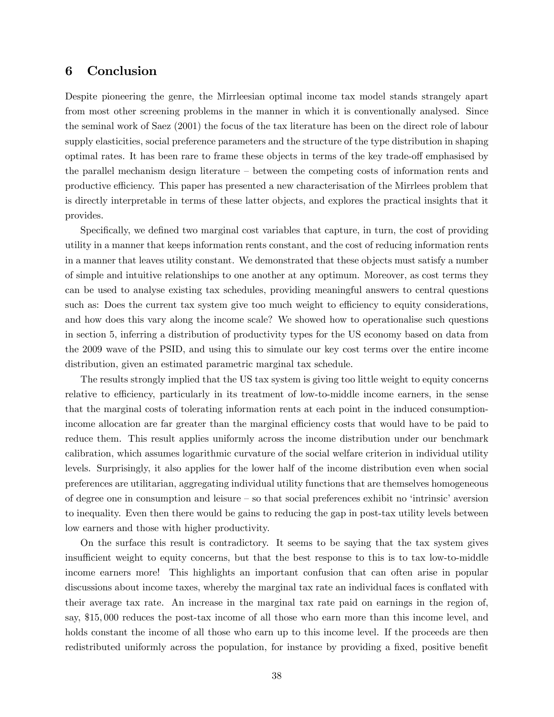## 6 Conclusion

Despite pioneering the genre, the Mirrleesian optimal income tax model stands strangely apart from most other screening problems in the manner in which it is conventionally analysed. Since the seminal work of Saez (2001) the focus of the tax literature has been on the direct role of labour supply elasticities, social preference parameters and the structure of the type distribution in shaping optimal rates. It has been rare to frame these objects in terms of the key trade-off emphasised by the parallel mechanism design literature  $-\theta$  between the competing costs of information rents and productive efficiency. This paper has presented a new characterisation of the Mirrlees problem that is directly interpretable in terms of these latter objects, and explores the practical insights that it provides.

Specifically, we defined two marginal cost variables that capture, in turn, the cost of providing utility in a manner that keeps information rents constant, and the cost of reducing information rents in a manner that leaves utility constant. We demonstrated that these objects must satisfy a number of simple and intuitive relationships to one another at any optimum. Moreover, as cost terms they can be used to analyse existing tax schedules, providing meaningful answers to central questions such as: Does the current tax system give too much weight to efficiency to equity considerations, and how does this vary along the income scale? We showed how to operationalise such questions in section 5, inferring a distribution of productivity types for the US economy based on data from the 2009 wave of the PSID, and using this to simulate our key cost terms over the entire income distribution, given an estimated parametric marginal tax schedule.

The results strongly implied that the US tax system is giving too little weight to equity concerns relative to efficiency, particularly in its treatment of low-to-middle income earners, in the sense that the marginal costs of tolerating information rents at each point in the induced consumptionincome allocation are far greater than the marginal efficiency costs that would have to be paid to reduce them. This result applies uniformly across the income distribution under our benchmark calibration, which assumes logarithmic curvature of the social welfare criterion in individual utility levels. Surprisingly, it also applies for the lower half of the income distribution even when social preferences are utilitarian, aggregating individual utility functions that are themselves homogeneous of degree one in consumption and leisure  $-$  so that social preferences exhibit no 'intrinsic' aversion to inequality. Even then there would be gains to reducing the gap in post-tax utility levels between low earners and those with higher productivity.

On the surface this result is contradictory. It seems to be saying that the tax system gives insufficient weight to equity concerns, but that the best response to this is to tax low-to-middle income earners more! This highlights an important confusion that can often arise in popular discussions about income taxes, whereby the marginal tax rate an individual faces is conflated with their average tax rate. An increase in the marginal tax rate paid on earnings in the region of, say, \$15; 000 reduces the post-tax income of all those who earn more than this income level, and holds constant the income of all those who earn up to this income level. If the proceeds are then redistributed uniformly across the population, for instance by providing a fixed, positive benefit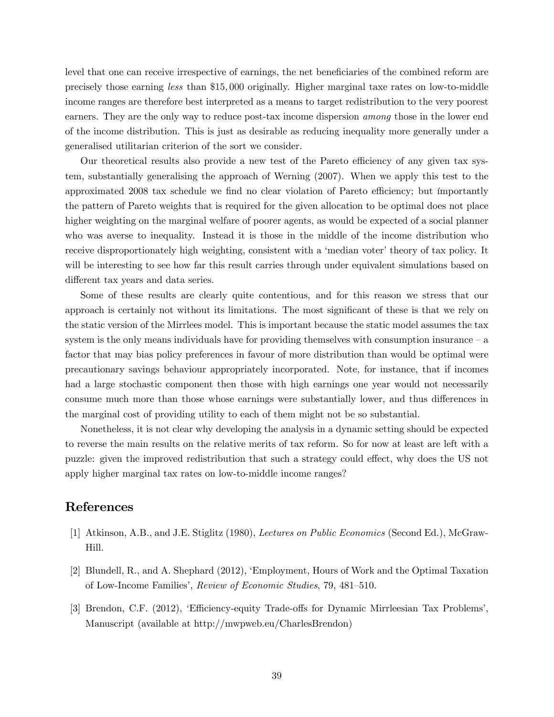level that one can receive irrespective of earnings, the net beneficiaries of the combined reform are precisely those earning less than \$15; 000 originally. Higher marginal taxe rates on low-to-middle income ranges are therefore best interpreted as a means to target redistribution to the very poorest earners. They are the only way to reduce post-tax income dispersion among those in the lower end of the income distribution. This is just as desirable as reducing inequality more generally under a generalised utilitarian criterion of the sort we consider.

Our theoretical results also provide a new test of the Pareto efficiency of any given tax system, substantially generalising the approach of Werning (2007). When we apply this test to the approximated 2008 tax schedule we find no clear violation of Pareto efficiency; but importantly the pattern of Pareto weights that is required for the given allocation to be optimal does not place higher weighting on the marginal welfare of poorer agents, as would be expected of a social planner who was averse to inequality. Instead it is those in the middle of the income distribution who receive disproportionately high weighting, consistent with a 'median voter' theory of tax policy. It will be interesting to see how far this result carries through under equivalent simulations based on different tax years and data series.

Some of these results are clearly quite contentious, and for this reason we stress that our approach is certainly not without its limitations. The most significant of these is that we rely on the static version of the Mirrlees model. This is important because the static model assumes the tax system is the only means individuals have for providing themselves with consumption insurance  $-\alpha$ factor that may bias policy preferences in favour of more distribution than would be optimal were precautionary savings behaviour appropriately incorporated. Note, for instance, that if incomes had a large stochastic component then those with high earnings one year would not necessarily consume much more than those whose earnings were substantially lower, and thus differences in the marginal cost of providing utility to each of them might not be so substantial.

Nonetheless, it is not clear why developing the analysis in a dynamic setting should be expected to reverse the main results on the relative merits of tax reform. So for now at least are left with a puzzle: given the improved redistribution that such a strategy could effect, why does the US not apply higher marginal tax rates on low-to-middle income ranges?

# References

- [1] Atkinson, A.B., and J.E. Stiglitz (1980), Lectures on Public Economics (Second Ed.), McGraw-Hill.
- [2] Blundell, R., and A. Shephard (2012), ëEmployment, Hours of Work and the Optimal Taxation of Low-Income Families', Review of Economic Studies, 79, 481–510.
- [3] Brendon, C.F. (2012), 'Efficiency-equity Trade-offs for Dynamic Mirrleesian Tax Problems', Manuscript (available at http://mwpweb.eu/CharlesBrendon)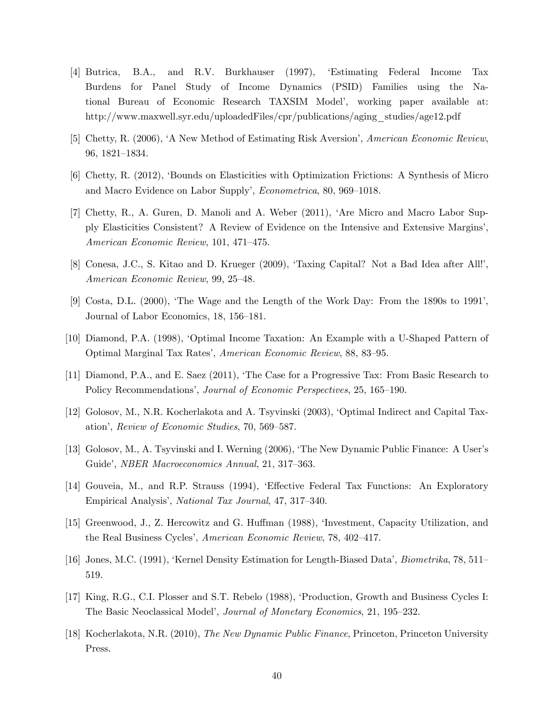- [4] Butrica, B.A., and R.V. Burkhauser (1997), ëEstimating Federal Income Tax Burdens for Panel Study of Income Dynamics (PSID) Families using the National Bureau of Economic Research TAXSIM Model', working paper available at: http://www.maxwell.syr.edu/uploadedFiles/cpr/publications/aging\_studies/age12.pdf
- [5] Chetty, R. (2006), 'A New Method of Estimating Risk Aversion', American Economic Review, 96, 1821-1834.
- [6] Chetty, R. (2012), ëBounds on Elasticities with Optimization Frictions: A Synthesis of Micro and Macro Evidence on Labor Supply', *Econometrica*, 80, 969–1018.
- [7] Chetty, R., A. Guren, D. Manoli and A. Weber (2011), ëAre Micro and Macro Labor Supply Elasticities Consistent? A Review of Evidence on the Intensive and Extensive Marginsí, American Economic Review, 101, 471-475.
- [8] Conesa, J.C., S. Kitao and D. Krueger (2009), 'Taxing Capital? Not a Bad Idea after All!', American Economic Review, 99, 25–48.
- $[9]$  Costa, D.L. (2000), 'The Wage and the Length of the Work Day: From the 1890s to 1991', Journal of Labor Economics, 18, 156–181.
- [10] Diamond, P.A. (1998), ëOptimal Income Taxation: An Example with a U-Shaped Pattern of Optimal Marginal Tax Rates', American Economic Review, 88, 83-95.
- [11] Diamond, P.A., and E. Saez (2011), ëThe Case for a Progressive Tax: From Basic Research to Policy Recommendations', Journal of Economic Perspectives, 25, 165–190.
- [12] Golosov, M., N.R. Kocherlakota and A. Tsyvinski (2003), ëOptimal Indirect and Capital Taxation', Review of Economic Studies, 70, 569–587.
- [13] Golosov, M., A. Tsyvinski and I. Werning (2006), ëThe New Dynamic Public Finance: A Userís Guide', NBER Macroeconomics Annual, 21, 317-363.
- [14] Gouveia, M., and R.P. Strauss (1994), 'Effective Federal Tax Functions: An Exploratory Empirical Analysis', National Tax Journal, 47, 317–340.
- [15] Greenwood, J., Z. Hercowitz and G. Huffman (1988), 'Investment, Capacity Utilization, and the Real Business Cycles', American Economic Review, 78, 402-417.
- [16] Jones, M.C. (1991), 'Kernel Density Estimation for Length-Biased Data', *Biometrika*, 78, 511– 519.
- [17] King, R.G., C.I. Plosser and S.T. Rebelo (1988), ëProduction, Growth and Business Cycles I: The Basic Neoclassical Model', Journal of Monetary Economics, 21, 195-232.
- [18] Kocherlakota, N.R. (2010), The New Dynamic Public Finance, Princeton, Princeton University Press.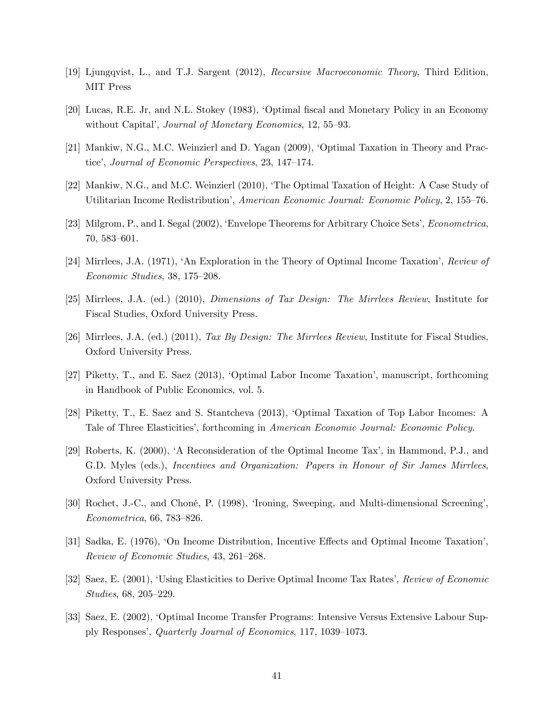- [19] Ljungqvist, L., and T.J. Sargent (2012), Recursive Macroeconomic Theory, Third Edition, MIT Press
- [20] Lucas, R.E. Jr, and N.L. Stokey (1983), ëOptimal Öscal and Monetary Policy in an Economy without Capital', Journal of Monetary Economics, 12, 55-93.
- [21] Mankiw, N.G., M.C. Weinzierl and D. Yagan (2009), ëOptimal Taxation in Theory and Practice', Journal of Economic Perspectives, 23, 147–174.
- [22] Mankiw, N.G., and M.C. Weinzierl (2010), ëThe Optimal Taxation of Height: A Case Study of Utilitarian Income Redistribution', American Economic Journal: Economic Policy, 2, 155–76.
- [23] Milgrom, P., and I. Segal (2002), ëEnvelope Theorems for Arbitrary Choice Setsí, Econometrica,  $70,583-601.$
- [24] Mirrlees, J.A. (1971), 'An Exploration in the Theory of Optimal Income Taxation', Review of  $Economic Studies, 38, 175-208.$
- [25] Mirrlees, J.A. (ed.) (2010), Dimensions of Tax Design: The Mirrlees Review, Institute for Fiscal Studies, Oxford University Press.
- [26] Mirrlees, J.A. (ed.) (2011), Tax By Design: The Mirrlees Review, Institute for Fiscal Studies, Oxford University Press.
- [27] Piketty, T., and E. Saez (2013), 'Optimal Labor Income Taxation', manuscript, forthcoming in Handbook of Public Economics, vol. 5.
- [28] Piketty, T., E. Saez and S. Stantcheva (2013), ëOptimal Taxation of Top Labor Incomes: A Tale of Three Elasticities', forthcoming in American Economic Journal: Economic Policy.
- [29] Roberts, K. (2000), 'A Reconsideration of the Optimal Income Tax', in Hammond, P.J., and G.D. Myles (eds.), *Incentives and Organization: Papers in Honour of Sir James Mirrlees*, Oxford University Press.
- [30] Rochet, J.-C., and Choné, P. (1998), 'Ironing, Sweeping, and Multi-dimensional Screening',  $Econometrica, 66, 783–826.$
- [31] Sadka, E. (1976), 'On Income Distribution, Incentive Effects and Optimal Income Taxation', Review of Economic Studies, 43, 261–268.
- [32] Saez, E. (2001), 'Using Elasticities to Derive Optimal Income Tax Rates', Review of Economic  $Studies, 68, 205-229.$
- [33] Saez, E. (2002), ëOptimal Income Transfer Programs: Intensive Versus Extensive Labour Supply Responses', Quarterly Journal of Economics, 117, 1039–1073.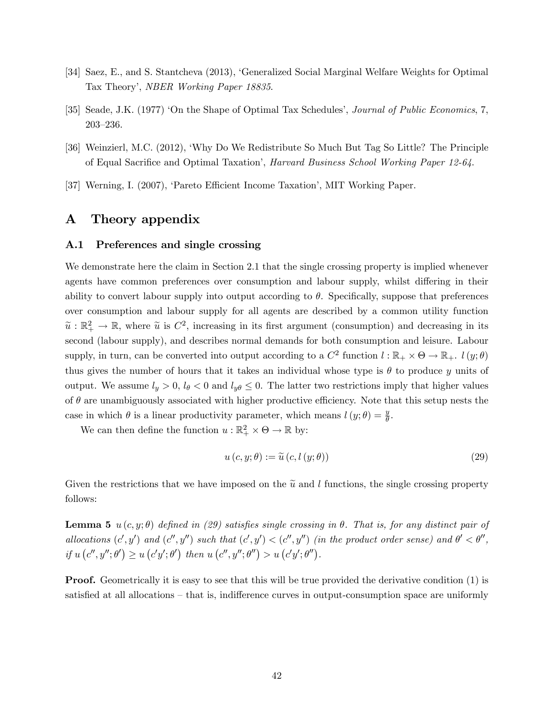- [34] Saez, E., and S. Stantcheva (2013), ëGeneralized Social Marginal Welfare Weights for Optimal Tax Theory', NBER Working Paper 18835.
- [35] Seade, J.K. (1977) 'On the Shape of Optimal Tax Schedules', Journal of Public Economics, 7, 203-236.
- [36] Weinzierl, M.C. (2012), ëWhy Do We Redistribute So Much But Tag So Little? The Principle of Equal Sacrifice and Optimal Taxation', *Harvard Business School Working Paper 12-64*.
- [37] Werning, I. (2007), 'Pareto Efficient Income Taxation', MIT Working Paper.

## A Theory appendix

## A.1 Preferences and single crossing

We demonstrate here the claim in Section 2.1 that the single crossing property is implied whenever agents have common preferences over consumption and labour supply, whilst differing in their ability to convert labour supply into output according to  $\theta$ . Specifically, suppose that preferences over consumption and labour supply for all agents are described by a common utility function  $\tilde{u}: \mathbb{R}_+^2 \to \mathbb{R}$ , where  $\tilde{u}$  is  $C^2$ , increasing in its first argument (consumption) and decreasing in its second (labour supply), and describes normal demands for both consumption and leisure. Labour supply, in turn, can be converted into output according to a  $C^2$  function  $l : \mathbb{R}_+ \times \Theta \to \mathbb{R}_+$ .  $l(y; \theta)$ thus gives the number of hours that it takes an individual whose type is  $\theta$  to produce y units of output. We assume  $l_y > 0$ ,  $l_\theta < 0$  and  $l_{y\theta} \leq 0$ . The latter two restrictions imply that higher values of  $\theta$  are unambiguously associated with higher productive efficiency. Note that this setup nests the case in which  $\theta$  is a linear productivity parameter, which means  $l(y; \theta) = \frac{y}{\theta}$ .

We can then define the function  $u : \mathbb{R}_+^2 \times \Theta \to \mathbb{R}$  by:

$$
u\left(c,y;\theta\right) := \widetilde{u}\left(c,l\left(y;\theta\right)\right) \tag{29}
$$

Given the restrictions that we have imposed on the  $\tilde{u}$  and l functions, the single crossing property follows:

**Lemma 5** u(c, y;  $\theta$ ) defined in (29) satisfies single crossing in  $\theta$ . That is, for any distinct pair of allocations  $(c', y')$  and  $(c'', y'')$  such that  $(c', y') < (c'', y'')$  (in the product order sense) and  $\theta' < \theta''$ , if  $u(c'', y''; \theta') \geq u(c'y'; \theta')$  then  $u(c'', y''; \theta'') > u(c'y'; \theta'')$ .

**Proof.** Geometrically it is easy to see that this will be true provided the derivative condition (1) is satisfied at all allocations – that is, indifference curves in output-consumption space are uniformly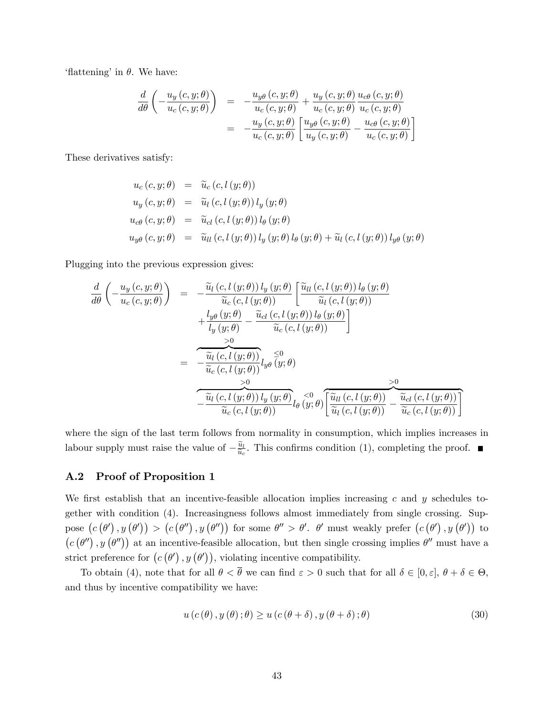'flattening' in  $\theta$ . We have:

$$
\frac{d}{d\theta} \left( -\frac{u_y(c, y; \theta)}{u_c(c, y; \theta)} \right) = -\frac{u_{y\theta}(c, y; \theta)}{u_c(c, y; \theta)} + \frac{u_y(c, y; \theta)}{u_c(c, y; \theta)} \frac{u_{c\theta}(c, y; \theta)}{u_c(c, y; \theta)} \n= -\frac{u_y(c, y; \theta)}{u_c(c, y; \theta)} \left[ \frac{u_{y\theta}(c, y; \theta)}{u_y(c, y; \theta)} - \frac{u_{c\theta}(c, y; \theta)}{u_c(c, y; \theta)} \right]
$$

These derivatives satisfy:

$$
u_c(c, y; \theta) = \tilde{u}_c(c, l(y; \theta))
$$
  
\n
$$
u_y(c, y; \theta) = \tilde{u}_l(c, l(y; \theta)) l_y(y; \theta)
$$
  
\n
$$
u_{c\theta}(c, y; \theta) = \tilde{u}_{c\theta}(c, l(y; \theta)) l_{\theta}(y; \theta)
$$
  
\n
$$
u_{y\theta}(c, y; \theta) = \tilde{u}_{ll}(c, l(y; \theta)) l_y(y; \theta) l_{\theta}(y; \theta) + \tilde{u}_l(c, l(y; \theta)) l_{y\theta}(y; \theta)
$$

Plugging into the previous expression gives:

$$
\frac{d}{d\theta} \left( -\frac{u_y(c, y; \theta)}{u_c(c, y; \theta)} \right) = -\frac{\widetilde{u}_l(c, l(y; \theta)) l_y(y; \theta)}{\widetilde{u}_c(c, l(y; \theta))} \left[ \frac{\widetilde{u}_{ll}(c, l(y; \theta)) l_{\theta}(y; \theta)}{\widetilde{u}_l(c, l(y; \theta))} + \frac{l_{y\theta}(y; \theta)}{l_y(y; \theta)} - \frac{\widetilde{u}_{cl}(c, l(y; \theta)) l_{\theta}(y; \theta)}{\widetilde{u}_c(c, l(y; \theta))} \right]
$$
\n
$$
= -\frac{\widetilde{u}_l(c, l(y; \theta))}{\widetilde{u}_c(c, l(y; \theta))} l_{y\theta} \overline{(y; \theta)} \right]
$$
\n
$$
= -\frac{\widetilde{u}_l(c, l(y; \theta))}{\widetilde{u}_c(c, l(y; \theta))} l_{y\theta} \overline{(y; \theta)} \left[ \frac{\widetilde{u}_l(c, l(y; \theta))}{\widetilde{u}_l(c, l(y; \theta))} - \frac{\widetilde{u}_l(c, l(y; \theta))}{\widetilde{u}_c(c, l(y; \theta))} \right]
$$

where the sign of the last term follows from normality in consumption, which implies increases in labour supply must raise the value of  $-\frac{\tilde{u}_l}{\tilde{u}_c}$  $\frac{u_l}{\tilde{u}_c}$ . This confirms condition (1), completing the proof.

### A.2 Proof of Proposition 1

We first establish that an incentive-feasible allocation implies increasing c and y schedules together with condition (4). Increasingness follows almost immediately from single crossing. Suppose  $(c(\theta'), y(\theta')) > (c(\theta''), y(\theta''))$  for some  $\theta'' > \theta'$ .  $\theta'$  must weakly prefer  $(c(\theta'), y(\theta'))$  to  $(c(\theta''), y(\theta''))$  at an incentive-feasible allocation, but then single crossing implies  $\theta''$  must have a strict preference for  $(c(\theta'), y(\theta'))$ , violating incentive compatibility.

To obtain (4), note that for all  $\theta < \theta$  we can find  $\varepsilon > 0$  such that for all  $\delta \in [0, \varepsilon], \theta + \delta \in \Theta$ , and thus by incentive compatibility we have:

$$
u(c(\theta), y(\theta); \theta) \ge u(c(\theta + \delta), y(\theta + \delta); \theta)
$$
\n(30)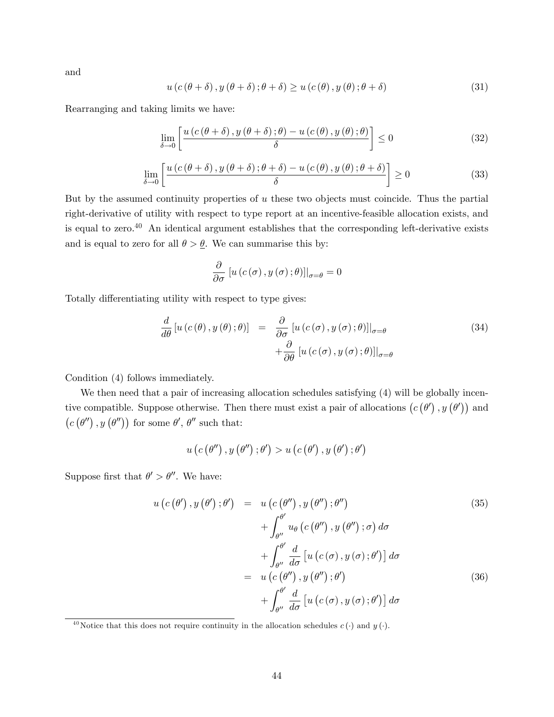and

$$
u(c(\theta + \delta), y(\theta + \delta); \theta + \delta) \ge u(c(\theta), y(\theta); \theta + \delta)
$$
\n(31)

Rearranging and taking limits we have:

$$
\lim_{\delta \to 0} \left[ \frac{u(c(\theta + \delta), y(\theta + \delta); \theta) - u(c(\theta), y(\theta); \theta)}{\delta} \right] \le 0
$$
\n(32)

$$
\lim_{\delta \to 0} \left[ \frac{u(c(\theta + \delta), y(\theta + \delta); \theta + \delta) - u(c(\theta), y(\theta); \theta + \delta)}{\delta} \right] \ge 0
$$
\n(33)

But by the assumed continuity properties of  $u$  these two objects must coincide. Thus the partial right-derivative of utility with respect to type report at an incentive-feasible allocation exists, and is equal to zero.<sup>40</sup> An identical argument establishes that the corresponding left-derivative exists and is equal to zero for all  $\theta > \underline{\theta}$ . We can summarise this by:

$$
\frac{\partial}{\partial \sigma} [u(c(\sigma), y(\sigma); \theta)]|_{\sigma = \theta} = 0
$$

Totally differentiating utility with respect to type gives:

$$
\frac{d}{d\theta} \left[ u(c(\theta), y(\theta); \theta) \right] = \frac{\partial}{\partial \sigma} \left[ u(c(\sigma), y(\sigma); \theta) \right] \Big|_{\sigma = \theta} \n+ \frac{\partial}{\partial \theta} \left[ u(c(\sigma), y(\sigma); \theta) \right] \Big|_{\sigma = \theta}
$$
\n(34)

Condition (4) follows immediately.

We then need that a pair of increasing allocation schedules satisfying  $(4)$  will be globally incentive compatible. Suppose otherwise. Then there must exist a pair of allocations  $(c(\theta), y(\theta'))$  and  $(c(\theta''), y(\theta''))$  for some  $\theta', \theta''$  such that:

$$
u (c (\theta''), y (\theta''); \theta') > u (c (\theta'), y (\theta'); \theta')
$$

Suppose first that  $\theta' > \theta''$ . We have:

$$
u\left(c\left(\theta'\right), y\left(\theta'\right); \theta'\right) = u\left(c\left(\theta''\right), y\left(\theta''\right); \theta''\right)
$$
\n
$$
+ \int_{\theta''}^{\theta'} u_{\theta}\left(c\left(\theta''\right), y\left(\theta''\right); \sigma\right) d\sigma
$$
\n
$$
+ \int_{\theta''}^{\theta'} \frac{d}{d\sigma}\left[u\left(c\left(\sigma\right), y\left(\sigma\right); \theta'\right)\right] d\sigma
$$
\n
$$
= u\left(c\left(\theta''\right), y\left(\theta''\right); \theta'\right)
$$
\n
$$
+ \int_{\theta''}^{\theta'} \frac{d}{d\sigma}\left[u\left(c\left(\sigma\right), y\left(\sigma\right); \theta'\right)\right] d\sigma
$$
\n(36)

<sup>&</sup>lt;sup>40</sup>Notice that this does not require continuity in the allocation schedules  $c(\cdot)$  and  $y(\cdot)$ .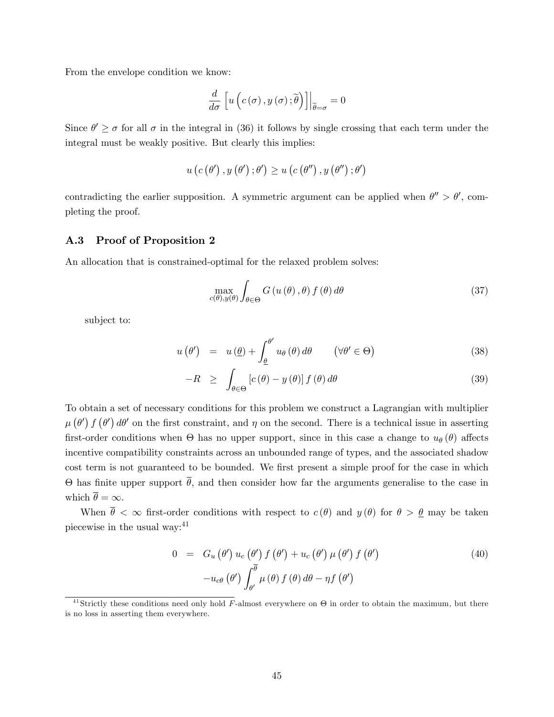From the envelope condition we know:

$$
\frac{d}{d\sigma}\left[u\left(c\left(\sigma\right),y\left(\sigma\right);\tilde{\theta}\right)\right]\Big|_{\tilde{\theta}=\sigma}=0
$$

Since  $\theta' \ge \sigma$  for all  $\sigma$  in the integral in (36) it follows by single crossing that each term under the integral must be weakly positive. But clearly this implies:

$$
u\left(c\left(\theta^{\prime}\right),y\left(\theta^{\prime}\right);\theta^{\prime}\right)\geq u\left(c\left(\theta^{\prime\prime}\right),y\left(\theta^{\prime\prime}\right);\theta^{\prime}\right)
$$

contradicting the earlier supposition. A symmetric argument can be applied when  $\theta'' > \theta'$ , completing the proof.

## A.3 Proof of Proposition 2

An allocation that is constrained-optimal for the relaxed problem solves:

$$
\max_{c(\theta),y(\theta)} \int_{\theta \in \Theta} G(u(\theta), \theta) f(\theta) d\theta \tag{37}
$$

subject to:

$$
u(\theta') = u(\underline{\theta}) + \int_{\underline{\theta}}^{\theta'} u_{\theta}(\theta) d\theta \qquad (\forall \theta' \in \Theta)
$$
\n(38)

$$
-R \geq \int_{\theta \in \Theta} \left[ c(\theta) - y(\theta) \right] f(\theta) d\theta \tag{39}
$$

To obtain a set of necessary conditions for this problem we construct a Lagrangian with multiplier  $\mu(\theta')$   $f(\theta')$  d $\theta'$  on the first constraint, and  $\eta$  on the second. There is a technical issue in asserting first-order conditions when  $\Theta$  has no upper support, since in this case a change to  $u_{\theta}(\theta)$  affects incentive compatibility constraints across an unbounded range of types, and the associated shadow cost term is not guaranteed to be bounded. We first present a simple proof for the case in which  $\Theta$  has finite upper support  $\theta$ , and then consider how far the arguments generalise to the case in which  $\overline{\theta} = \infty$ .

When  $\bar{\theta} < \infty$  first-order conditions with respect to  $c(\theta)$  and  $y(\theta)$  for  $\theta > \theta$  may be taken piecewise in the usual way:<sup>41</sup>

$$
0 = G_u (\theta') u_c (\theta') f (\theta') + u_c (\theta') \mu (\theta') f (\theta')
$$
  

$$
-u_{c\theta} (\theta') \int_{\theta'}^{\overline{\theta}} \mu (\theta) f (\theta) d\theta - \eta f (\theta')
$$
 (40)

<sup>&</sup>lt;sup>41</sup>Strictly these conditions need only hold F-almost everywhere on  $\Theta$  in order to obtain the maximum, but there is no loss in asserting them everywhere.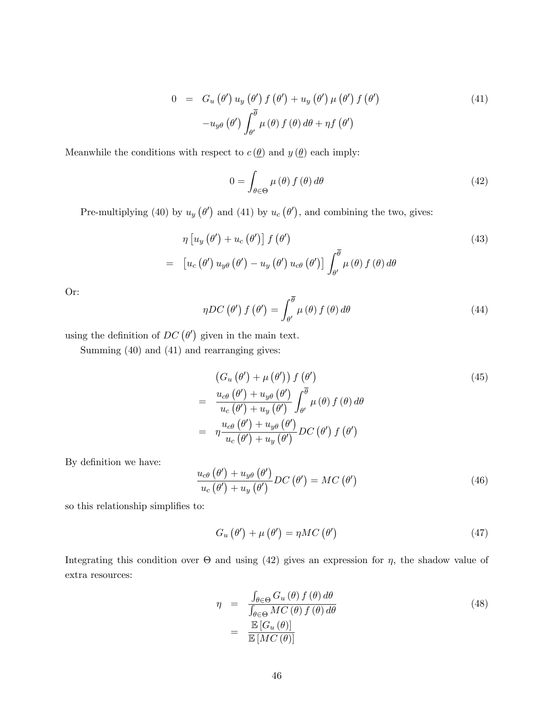$$
0 = G_u (\theta') u_y (\theta') f (\theta') + u_y (\theta') \mu (\theta') f (\theta')
$$
  

$$
-u_{y\theta} (\theta') \int_{\theta'}^{\overline{\theta}} \mu (\theta) f (\theta) d\theta + \eta f (\theta')
$$
 (41)

Meanwhile the conditions with respect to  $c(\underline{\theta})$  and  $y(\underline{\theta})$  each imply:

$$
0 = \int_{\theta \in \Theta} \mu(\theta) f(\theta) d\theta \tag{42}
$$

Pre-multiplying (40) by  $u_y(\theta')$  and (41) by  $u_c(\theta')$ , and combining the two, gives:

$$
\eta \left[ u_y \left( \theta' \right) + u_c \left( \theta' \right) \right] f \left( \theta' \right) \tag{43}
$$
\n
$$
= \left[ u_c \left( \theta' \right) u_{y\theta} \left( \theta' \right) - u_y \left( \theta' \right) u_{c\theta} \left( \theta' \right) \right] \int_{\theta'}^{\overline{\theta}} \mu \left( \theta \right) f \left( \theta \right) d\theta
$$

Or:

$$
\eta DC\left(\theta'\right)f\left(\theta'\right) = \int_{\theta'}^{\overline{\theta}} \mu\left(\theta\right)f\left(\theta\right)d\theta\tag{44}
$$

using the definition of  $DC(\theta')$  given in the main text.

Summing (40) and (41) and rearranging gives:

$$
\begin{array}{l}\n\left(G_u\left(\theta'\right) + \mu\left(\theta'\right)\right) f\left(\theta'\right) \\
= \frac{u_{c\theta}\left(\theta'\right) + u_{y\theta}\left(\theta'\right)}{u_c\left(\theta'\right) + u_y\left(\theta'\right)} \int_{\theta'}^{\overline{\theta}} \mu\left(\theta\right) f\left(\theta\right) d\theta \\
= \eta \frac{u_{c\theta}\left(\theta'\right) + u_{y\theta}\left(\theta'\right)}{u_c\left(\theta'\right) + u_y\left(\theta'\right)} DC\left(\theta'\right) f\left(\theta'\right)\n\end{array} \tag{45}
$$

By definition we have:

$$
\frac{u_{c\theta}(\theta') + u_{y\theta}(\theta')}{u_c(\theta') + u_y(\theta')}DC(\theta') = MC(\theta')
$$
\n(46)

so this relationship simplifies to:

$$
G_u(\theta') + \mu(\theta') = \eta MC(\theta')
$$
\n(47)

Integrating this condition over  $\Theta$  and using (42) gives an expression for  $\eta$ , the shadow value of extra resources:

$$
\eta = \frac{\int_{\theta \in \Theta} G_u(\theta) f(\theta) d\theta}{\int_{\theta \in \Theta} MC(\theta) f(\theta) d\theta} \n= \frac{\mathbb{E}[G_u(\theta)]}{\mathbb{E}[MC(\theta)]}
$$
\n(48)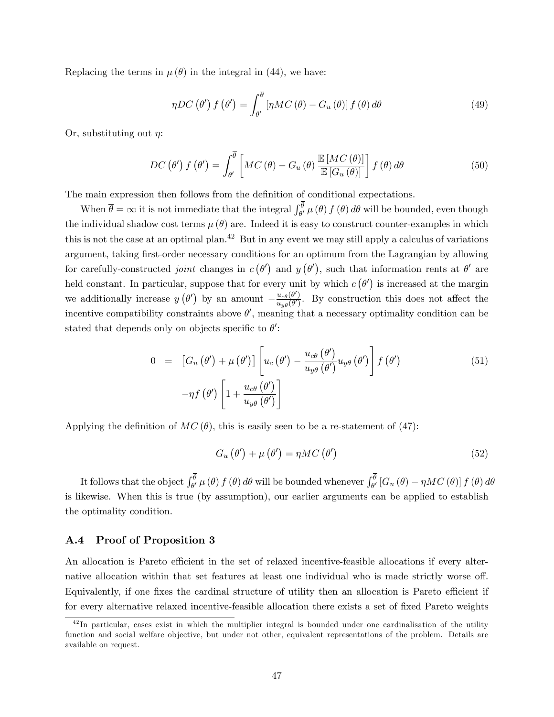Replacing the terms in  $\mu(\theta)$  in the integral in (44), we have:

$$
\eta DC\left(\theta'\right)f\left(\theta'\right) = \int_{\theta'}^{\overline{\theta}} \left[\eta MC\left(\theta\right) - G_u\left(\theta\right)\right] f\left(\theta\right) d\theta \tag{49}
$$

Or, substituting out  $\eta$ :

$$
DC(\theta') f(\theta') = \int_{\theta'}^{\overline{\theta}} \left[ MC(\theta) - G_u(\theta) \frac{\mathbb{E}[MC(\theta)]}{\mathbb{E}[G_u(\theta)]} \right] f(\theta) d\theta \tag{50}
$$

The main expression then follows from the definition of conditional expectations.

When  $\bar{\theta} = \infty$  it is not immediate that the integral  $\int_{\theta'}^{\theta} \mu(\theta) f(\theta) d\theta$  will be bounded, even though the individual shadow cost terms  $\mu(\theta)$  are. Indeed it is easy to construct counter-examples in which this is not the case at an optimal plan.<sup>42</sup> But in any event we may still apply a calculus of variations argument, taking first-order necessary conditions for an optimum from the Lagrangian by allowing for carefully-constructed *joint* changes in  $c(\theta')$  and  $y(\theta')$ , such that information rents at  $\theta'$  are held constant. In particular, suppose that for every unit by which  $c(\theta')$  is increased at the margin we additionally increase  $y(\theta')$  by an amount  $-\frac{u_{c\theta}(\theta')}{u_{y\theta}(\theta')}$  $\frac{u_{c\theta}(v)}{u_{y\theta}(\theta')}$ . By construction this does not affect the incentive compatibility constraints above  $\theta'$ , meaning that a necessary optimality condition can be stated that depends only on objects specific to  $\theta'$ :

$$
0 = \left[ G_u \left( \theta' \right) + \mu \left( \theta' \right) \right] \left[ u_c \left( \theta' \right) - \frac{u_{c\theta} \left( \theta' \right)}{u_{y\theta} \left( \theta' \right)} u_{y\theta} \left( \theta' \right) \right] f \left( \theta' \right) \tag{51}
$$
\n
$$
-\eta f \left( \theta' \right) \left[ 1 + \frac{u_{c\theta} \left( \theta' \right)}{u_{y\theta} \left( \theta' \right)} \right]
$$

Applying the definition of  $MC(\theta)$ , this is easily seen to be a re-statement of (47):

$$
G_u(\theta') + \mu(\theta') = \eta MC(\theta')
$$
\n(52)

It follows that the object  $\int_{\theta'}^{\theta} \mu(\theta) f(\theta) d\theta$  will be bounded whenever  $\int_{\theta'}^{\theta} [G_u(\theta) - \eta MC(\theta)] f(\theta) d\theta$ is likewise. When this is true (by assumption), our earlier arguments can be applied to establish the optimality condition.

## A.4 Proof of Proposition 3

An allocation is Pareto efficient in the set of relaxed incentive-feasible allocations if every alternative allocation within that set features at least one individual who is made strictly worse off. Equivalently, if one fixes the cardinal structure of utility then an allocation is Pareto efficient if for every alternative relaxed incentive-feasible allocation there exists a set of fixed Pareto weights

 $42$  In particular, cases exist in which the multiplier integral is bounded under one cardinalisation of the utility function and social welfare objective, but under not other, equivalent representations of the problem. Details are available on request.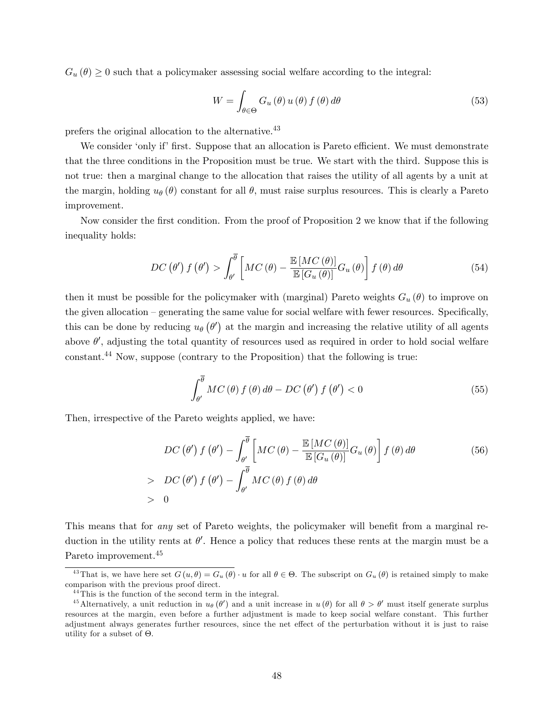$G_u(\theta) \geq 0$  such that a policymaker assessing social welfare according to the integral:

$$
W = \int_{\theta \in \Theta} G_u(\theta) u(\theta) f(\theta) d\theta \tag{53}
$$

prefers the original allocation to the alternative.<sup>43</sup>

We consider 'only if' first. Suppose that an allocation is Pareto efficient. We must demonstrate that the three conditions in the Proposition must be true. We start with the third. Suppose this is not true: then a marginal change to the allocation that raises the utility of all agents by a unit at the margin, holding  $u_{\theta}(\theta)$  constant for all  $\theta$ , must raise surplus resources. This is clearly a Pareto improvement.

Now consider the first condition. From the proof of Proposition 2 we know that if the following inequality holds:

$$
DC(\theta') f(\theta') > \int_{\theta'}^{\overline{\theta}} \left[ MC(\theta) - \frac{\mathbb{E}[MC(\theta)]}{\mathbb{E}[G_u(\theta)]} G_u(\theta) \right] f(\theta) d\theta \tag{54}
$$

then it must be possible for the policymaker with (marginal) Pareto weights  $G_u(\theta)$  to improve on the given allocation  $-\tilde{\chi}$  generating the same value for social welfare with fewer resources. Specifically, this can be done by reducing  $u_{\theta}(\theta')$  at the margin and increasing the relative utility of all agents above  $\theta'$ , adjusting the total quantity of resources used as required in order to hold social welfare constant.<sup>44</sup> Now, suppose (contrary to the Proposition) that the following is true:

$$
\int_{\theta'}^{\overline{\theta}} MC(\theta) f(\theta) d\theta - DC(\theta') f(\theta') < 0
$$
\n(55)

Then, irrespective of the Pareto weights applied, we have:

$$
DC(\theta') f(\theta') - \int_{\theta'}^{\overline{\theta}} \left[ MC(\theta) - \frac{\mathbb{E}[MC(\theta)]}{\mathbb{E}[G_u(\theta)]} G_u(\theta) \right] f(\theta) d\theta
$$
  
> DC(\theta') f(\theta') - \int\_{\theta'}^{\overline{\theta}} MC(\theta) f(\theta) d\theta  
> 0 (56)

This means that for *any* set of Pareto weights, the policymaker will benefit from a marginal reduction in the utility rents at  $\theta'$ . Hence a policy that reduces these rents at the margin must be a Pareto improvement.<sup>45</sup>

<sup>&</sup>lt;sup>43</sup>That is, we have here set  $G(u, \theta) = G_u(\theta) \cdot u$  for all  $\theta \in \Theta$ . The subscript on  $G_u(\theta)$  is retained simply to make comparison with the previous proof direct.

<sup>44</sup>This is the function of the second term in the integral.

<sup>&</sup>lt;sup>45</sup> Alternatively, a unit reduction in  $u_{\theta}(\theta')$  and a unit increase in  $u(\theta)$  for all  $\theta > \theta'$  must itself generate surplus resources at the margin, even before a further adjustment is made to keep social welfare constant. This further adjustment always generates further resources, since the net effect of the perturbation without it is just to raise utility for a subset of  $\Theta$ .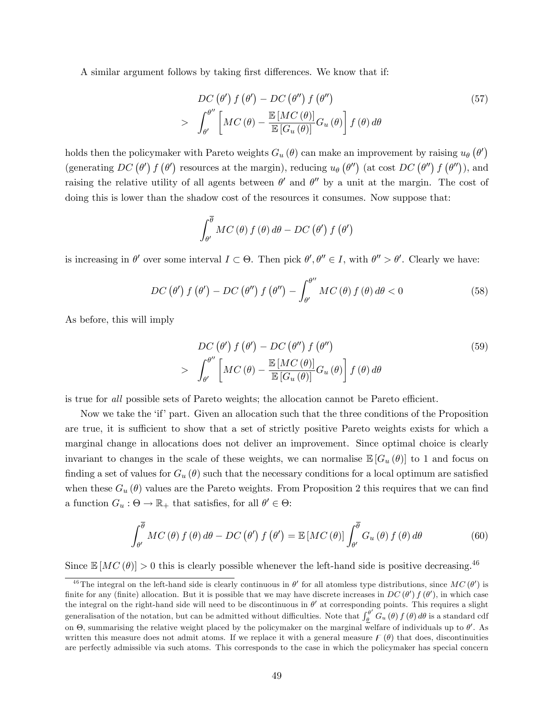A similar argument follows by taking first differences. We know that if:

$$
DC(\theta') f(\theta') - DC(\theta'') f(\theta'')
$$
  
> 
$$
\int_{\theta'}^{\theta''} \left[ MC(\theta) - \frac{\mathbb{E}[MC(\theta)]}{\mathbb{E}[G_u(\theta)]} G_u(\theta) \right] f(\theta) d\theta
$$
 (57)

holds then the policymaker with Pareto weights  $G_u(\theta)$  can make an improvement by raising  $u_{\theta}(\theta')$ (generating  $DC(\theta') f(\theta')$  resources at the margin), reducing  $u_{\theta}(\theta'')$  (at cost  $DC(\theta'') f(\theta'')$ ), and raising the relative utility of all agents between  $\theta'$  and  $\theta''$  by a unit at the margin. The cost of doing this is lower than the shadow cost of the resources it consumes. Now suppose that:

$$
\int_{\theta'}^{\overline{\theta}} MC(\theta) f(\theta) d\theta - DC(\theta') f(\theta')
$$

is increasing in  $\theta'$  over some interval  $I \subset \Theta$ . Then pick  $\theta', \theta'' \in I$ , with  $\theta'' > \theta'$ . Clearly we have:

$$
DC\left(\theta'\right)f\left(\theta'\right) - DC\left(\theta''\right)f\left(\theta''\right) - \int_{\theta'}^{\theta''} MC\left(\theta\right)f\left(\theta\right)d\theta < 0\tag{58}
$$

As before, this will imply

$$
DC(\theta') f(\theta') - DC(\theta'') f(\theta'')
$$
  
> 
$$
\int_{\theta'}^{\theta''} \left[ MC(\theta) - \frac{\mathbb{E}[MC(\theta)]}{\mathbb{E}[G_u(\theta)]} G_u(\theta) \right] f(\theta) d\theta
$$
 (59)

is true for all possible sets of Pareto weights; the allocation cannot be Pareto efficient.

Now we take the 'if' part. Given an allocation such that the three conditions of the Proposition are true, it is sufficient to show that a set of strictly positive Pareto weights exists for which a marginal change in allocations does not deliver an improvement. Since optimal choice is clearly invariant to changes in the scale of these weights, we can normalise  $\mathbb{E}[G_u(\theta)]$  to 1 and focus on finding a set of values for  $G_u(\theta)$  such that the necessary conditions for a local optimum are satisfied when these  $G_u(\theta)$  values are the Pareto weights. From Proposition 2 this requires that we can find a function  $G_u : \Theta \to \mathbb{R}_+$  that satisfies, for all  $\theta' \in \Theta$ :

$$
\int_{\theta'}^{\overline{\theta}} MC(\theta) f(\theta) d\theta - DC(\theta') f(\theta') = \mathbb{E}[MC(\theta)] \int_{\theta'}^{\overline{\theta}} G_u(\theta) f(\theta) d\theta
$$
 (60)

Since  $\mathbb{E}[MC(\theta)] > 0$  this is clearly possible whenever the left-hand side is positive decreasing.<sup>46</sup>

<sup>&</sup>lt;sup>46</sup>The integral on the left-hand side is clearly continuous in  $\theta'$  for all atomless type distributions, since  $MC(\theta')$  is finite for any (finite) allocation. But it is possible that we may have discrete increases in  $DC(\theta') f(\theta')$ , in which case the integral on the right-hand side will need to be discontinuous in  $\theta'$  at corresponding points. This requires a slight generalisation of the notation, but can be admitted without difficulties. Note that  $\int_{\theta}^{\theta'} G_u(\theta) f(\theta) d\theta$  is a standard cdf on  $\Theta$ , summarising the relative weight placed by the policymaker on the marginal welfare of individuals up to  $\theta'$ . As written this measure does not admit atoms. If we replace it with a general measure  $\mathcal{F}(\theta)$  that does, discontinuities are perfectly admissible via such atoms. This corresponds to the case in which the policymaker has special concern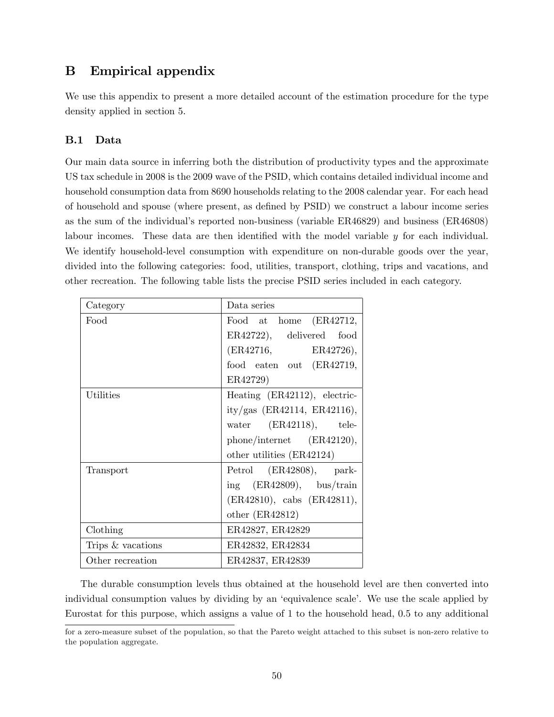# B Empirical appendix

We use this appendix to present a more detailed account of the estimation procedure for the type density applied in section 5.

## B.1 Data

Our main data source in inferring both the distribution of productivity types and the approximate US tax schedule in 2008 is the 2009 wave of the PSID, which contains detailed individual income and household consumption data from 8690 households relating to the 2008 calendar year. For each head of household and spouse (where present, as defined by PSID) we construct a labour income series as the sum of the individualís reported non-business (variable ER46829) and business (ER46808) labour incomes. These data are then identified with the model variable  $y$  for each individual. We identify household-level consumption with expenditure on non-durable goods over the year, divided into the following categories: food, utilities, transport, clothing, trips and vacations, and other recreation. The following table lists the precise PSID series included in each category.

| Category          | Data series                   |
|-------------------|-------------------------------|
| Food              | Food at home (ER42712,        |
|                   | ER42722), delivered food      |
|                   | (ER42716,<br>ER42726,         |
|                   | food eaten out (ER42719,      |
|                   | ER42729)                      |
| Utilities         | Heating (ER42112), electric-  |
|                   | ity/gas $(ER42114, ER42116),$ |
|                   | water $(ER42118)$ , tele-     |
|                   | $phone/internet$ (ER42120),   |
|                   | other utilities (ER42124)     |
| Transport         | Petrol (ER42808), park-       |
|                   | ing $(ER42809)$ , bus/train   |
|                   | (ER42810), cabs (ER42811),    |
|                   | other $(ER42812)$             |
| Clothing          | ER42827, ER42829              |
| Trips & vacations | ER42832, ER42834              |
| Other recreation  | ER42837, ER42839              |

The durable consumption levels thus obtained at the household level are then converted into individual consumption values by dividing by an 'equivalence scale'. We use the scale applied by Eurostat for this purpose, which assigns a value of 1 to the household head, 0.5 to any additional

for a zero-measure subset of the population, so that the Pareto weight attached to this subset is non-zero relative to the population aggregate.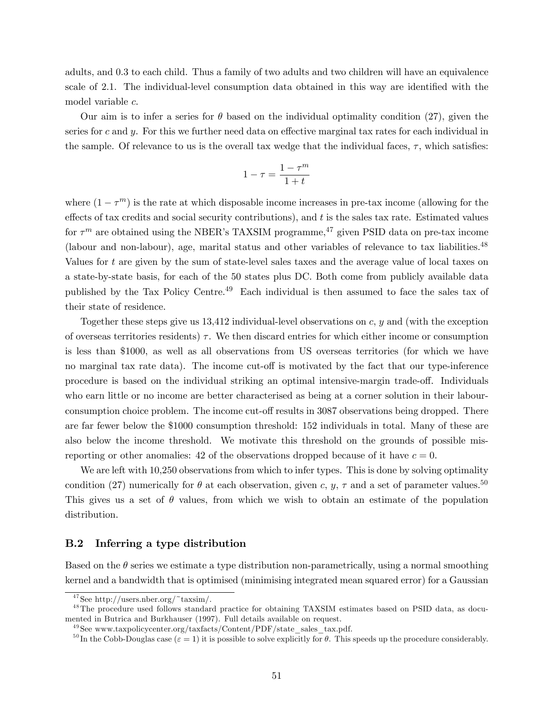adults, and 0.3 to each child. Thus a family of two adults and two children will have an equivalence scale of 2.1. The individual-level consumption data obtained in this way are identified with the model variable c.

Our aim is to infer a series for  $\theta$  based on the individual optimality condition (27), given the series for c and y. For this we further need data on effective marginal tax rates for each individual in the sample. Of relevance to us is the overall tax wedge that the individual faces,  $\tau$ , which satisfies:

$$
1 - \tau = \frac{1 - \tau^m}{1 + t}
$$

where  $(1 - \tau^m)$  is the rate at which disposable income increases in pre-tax income (allowing for the effects of tax credits and social security contributions), and  $t$  is the sales tax rate. Estimated values for  $\tau^m$  are obtained using the NBER's TAXSIM programme,<sup>47</sup> given PSID data on pre-tax income (labour and non-labour), age, marital status and other variables of relevance to tax liabilities.<sup>48</sup> Values for t are given by the sum of state-level sales taxes and the average value of local taxes on a state-by-state basis, for each of the 50 states plus DC. Both come from publicly available data published by the Tax Policy Centre.<sup>49</sup> Each individual is then assumed to face the sales tax of their state of residence.

Together these steps give us 13,412 individual-level observations on c, y and (with the exception of overseas territories residents)  $\tau$ . We then discard entries for which either income or consumption is less than \$1000, as well as all observations from US overseas territories (for which we have no marginal tax rate data). The income cut-off is motivated by the fact that our type-inference procedure is based on the individual striking an optimal intensive-margin trade-off. Individuals who earn little or no income are better characterised as being at a corner solution in their labourconsumption choice problem. The income cut-off results in 3087 observations being dropped. There are far fewer below the \$1000 consumption threshold: 152 individuals in total. Many of these are also below the income threshold. We motivate this threshold on the grounds of possible misreporting or other anomalies: 42 of the observations dropped because of it have  $c = 0$ .

We are left with 10,250 observations from which to infer types. This is done by solving optimality condition (27) numerically for  $\theta$  at each observation, given c, y,  $\tau$  and a set of parameter values.<sup>50</sup> This gives us a set of  $\theta$  values, from which we wish to obtain an estimate of the population distribution.

### B.2 Inferring a type distribution

Based on the  $\theta$  series we estimate a type distribution non-parametrically, using a normal smoothing kernel and a bandwidth that is optimised (minimising integrated mean squared error) for a Gaussian

 $47$ See http://users.nber.org/~taxsim/.

<sup>&</sup>lt;sup>48</sup>The procedure used follows standard practice for obtaining TAXSIM estimates based on PSID data, as documented in Butrica and Burkhauser (1997). Full details available on request.

 $^{49}$ See www.taxpolicycenter.org/taxfacts/Content/PDF/state sales tax.pdf.

<sup>&</sup>lt;sup>50</sup> In the Cobb-Douglas case ( $\varepsilon = 1$ ) it is possible to solve explicitly for  $\theta$ . This speeds up the procedure considerably.